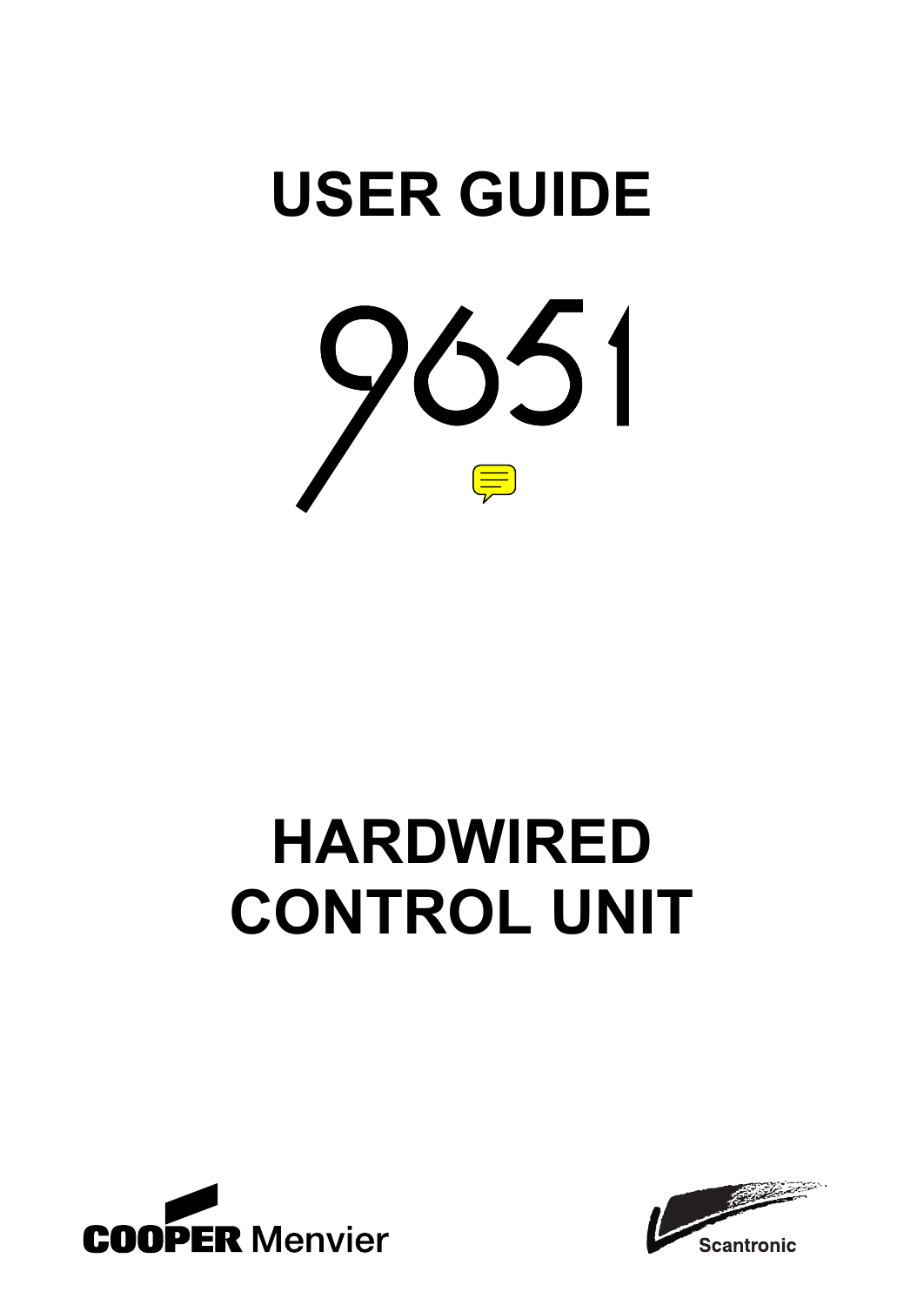

# **HARDWIRED CONTROL UNIT**



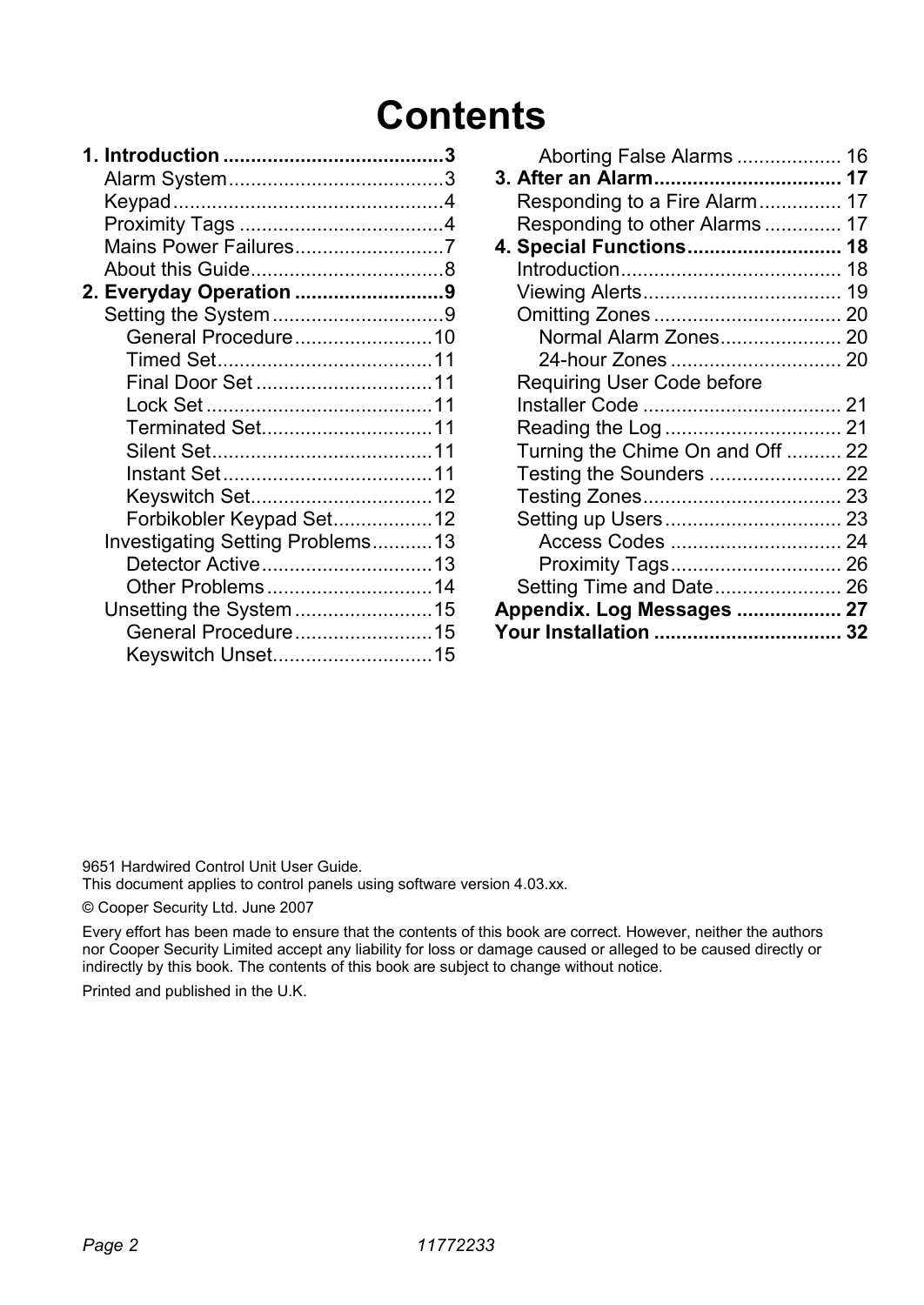## **Contents**

| Mains Power Failures7            |  |
|----------------------------------|--|
|                                  |  |
| 2. Everyday Operation 9          |  |
|                                  |  |
| General Procedure10              |  |
|                                  |  |
| Final Door Set11                 |  |
|                                  |  |
| Terminated Set11                 |  |
|                                  |  |
|                                  |  |
| Keyswitch Set12                  |  |
| Forbikobler Keypad Set12         |  |
| Investigating Setting Problems13 |  |
| Detector Active13                |  |
| Other Problems14                 |  |
| Unsetting the System15           |  |
| General Procedure15              |  |
| Keyswitch Unset15                |  |

| Aborting False Alarms  16        |  |
|----------------------------------|--|
| 3. After an Alarm 17             |  |
| Responding to a Fire Alarm 17    |  |
| Responding to other Alarms 17    |  |
| 4. Special Functions 18          |  |
|                                  |  |
|                                  |  |
|                                  |  |
| Normal Alarm Zones 20            |  |
|                                  |  |
| Requiring User Code before       |  |
|                                  |  |
|                                  |  |
| Turning the Chime On and Off  22 |  |
| Testing the Sounders  22         |  |
|                                  |  |
|                                  |  |
| Access Codes  24                 |  |
|                                  |  |
| Setting Time and Date 26         |  |
| Appendix. Log Messages  27       |  |
| Your Installation  32            |  |

9651 Hardwired Control Unit User Guide.

This document applies to control panels using software version 4.03.xx.

© Cooper Security Ltd. June 2007

Every effort has been made to ensure that the contents of this book are correct. However, neither the authors nor Cooper Security Limited accept any liability for loss or damage caused or alleged to be caused directly or indirectly by this book. The contents of this book are subject to change without notice.

Printed and published in the U.K.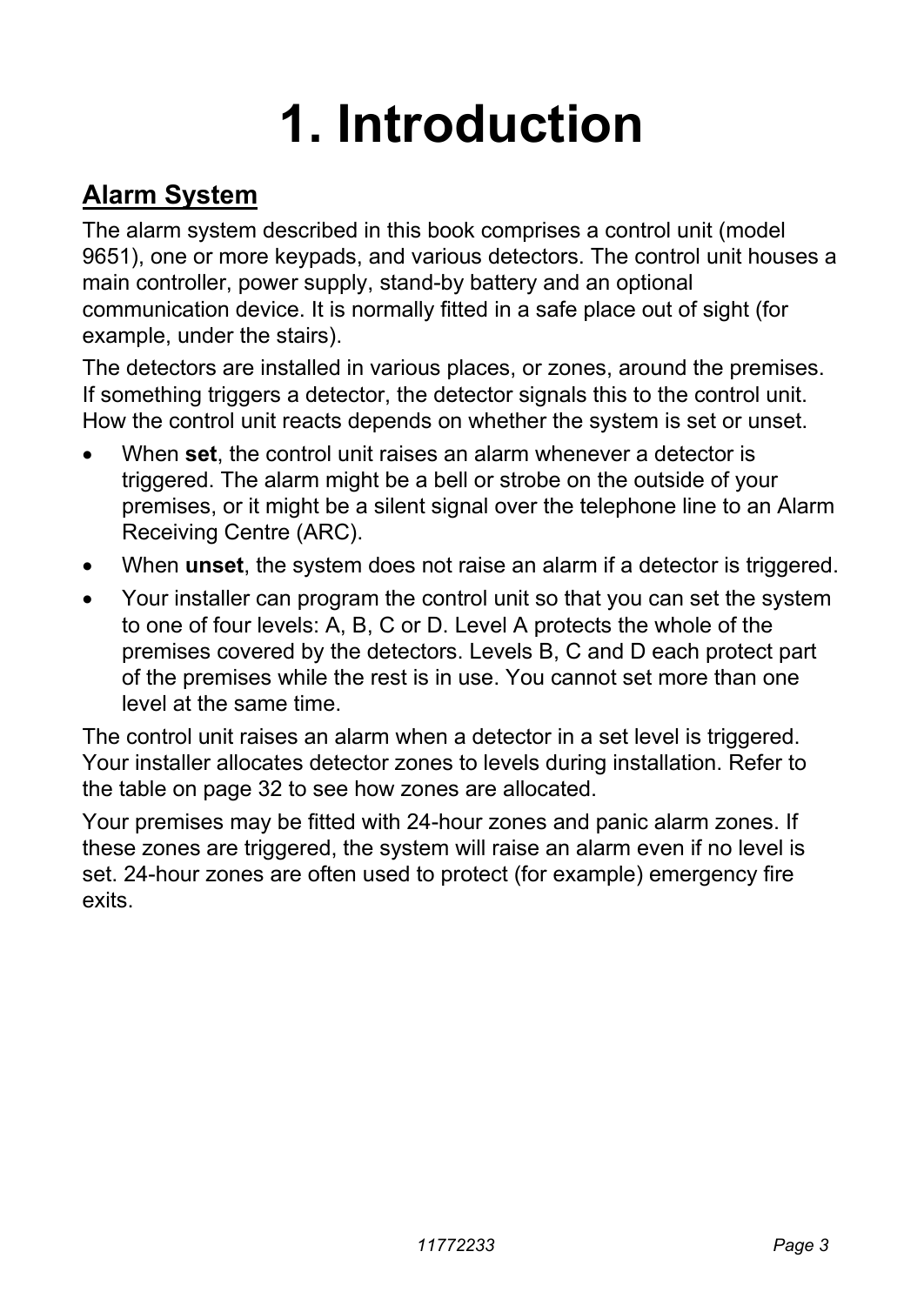## **1. Introduction**

## **Alarm System**

The alarm system described in this book comprises a control unit (model 9651), one or more keypads, and various detectors. The control unit houses a main controller, power supply, stand-by battery and an optional communication device. It is normally fitted in a safe place out of sight (for example, under the stairs).

The detectors are installed in various places, or zones, around the premises. If something triggers a detector, the detector signals this to the control unit. How the control unit reacts depends on whether the system is set or unset.

- When **set**, the control unit raises an alarm whenever a detector is triggered. The alarm might be a bell or strobe on the outside of your premises, or it might be a silent signal over the telephone line to an Alarm Receiving Centre (ARC).
- When **unset**, the system does not raise an alarm if a detector is triggered.
- Your installer can program the control unit so that you can set the system to one of four levels: A, B, C or D. Level A protects the whole of the premises covered by the detectors. Levels B, C and D each protect part of the premises while the rest is in use. You cannot set more than one level at the same time.

The control unit raises an alarm when a detector in a set level is triggered. Your installer allocates detector zones to levels during installation. Refer to the table on page 32 to see how zones are allocated.

Your premises may be fitted with 24-hour zones and panic alarm zones. If these zones are triggered, the system will raise an alarm even if no level is set. 24-hour zones are often used to protect (for example) emergency fire exits.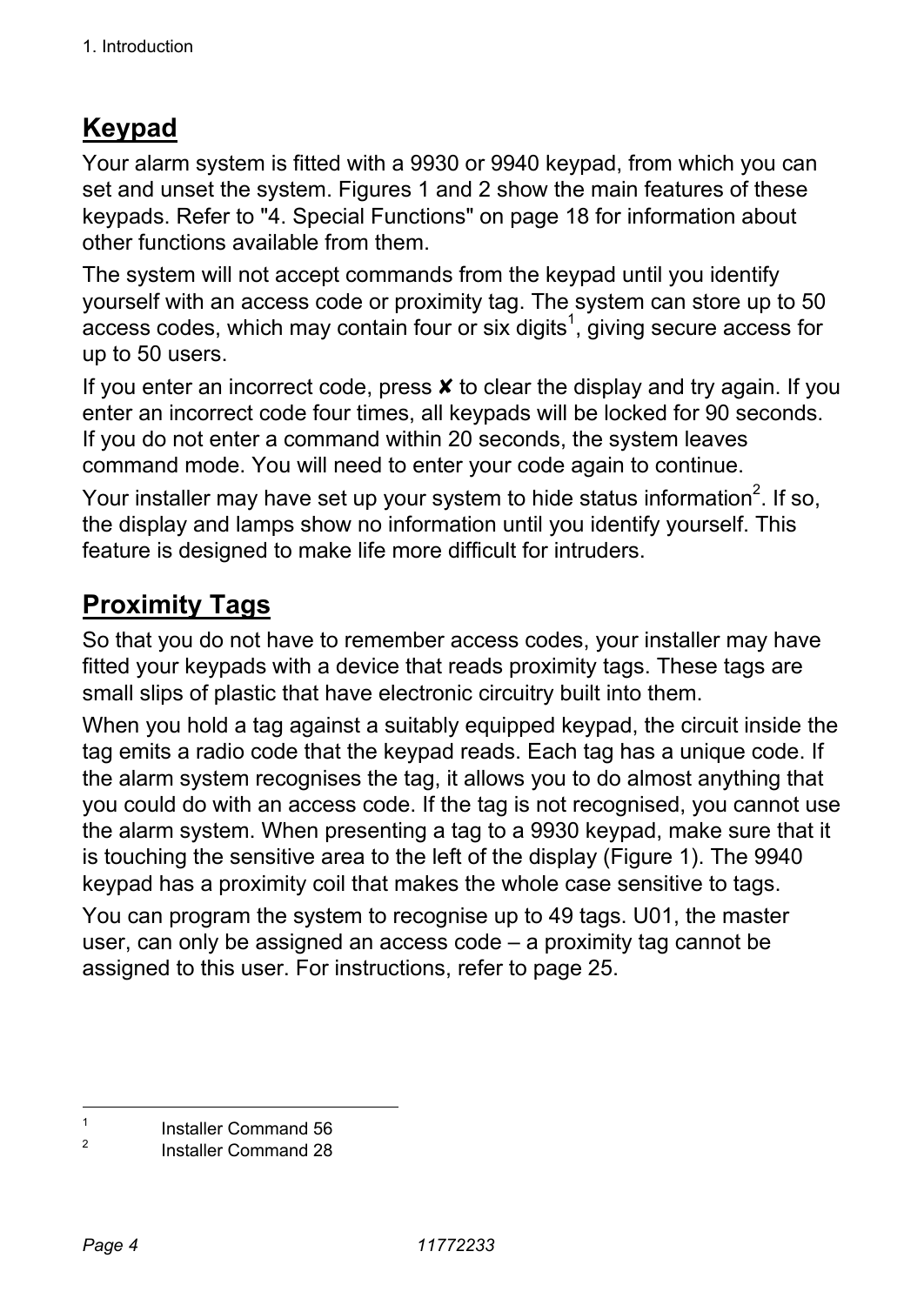## **Keypad**

Your alarm system is fitted with a 9930 or 9940 keypad, from which you can set and unset the system. Figures 1 and 2 show the main features of these keypads. Refer to "4. Special Functions" on page 18 for information about other functions available from them.

The system will not accept commands from the keypad until you identify yourself with an access code or proximity tag. The system can store up to 50  $\overline{\mathsf{access}}$  codes, which may contain four or six digits<sup>1</sup>, giving secure access for up to 50 users.

If you enter an incorrect code, press  $x$  to clear the display and try again. If you enter an incorrect code four times, all keypads will be locked for 90 seconds. If you do not enter a command within 20 seconds, the system leaves command mode. You will need to enter your code again to continue.

Your installer may have set up your system to hide status information<sup>2</sup>. If so, the display and lamps show no information until you identify yourself. This feature is designed to make life more difficult for intruders.

## **Proximity Tags**

So that you do not have to remember access codes, your installer may have fitted your keypads with a device that reads proximity tags. These tags are small slips of plastic that have electronic circuitry built into them.

When you hold a tag against a suitably equipped keypad, the circuit inside the tag emits a radio code that the keypad reads. Each tag has a unique code. If the alarm system recognises the tag, it allows you to do almost anything that you could do with an access code. If the tag is not recognised, you cannot use the alarm system. When presenting a tag to a 9930 keypad, make sure that it is touching the sensitive area to the left of the display (Figure 1). The 9940 keypad has a proximity coil that makes the whole case sensitive to tags.

You can program the system to recognise up to 49 tags. U01, the master user, can only be assigned an access code – a proximity tag cannot be assigned to this user. For instructions, refer to page 25.

 $\frac{1}{1}$ Installer Command 56

 $\overline{2}$ Installer Command 28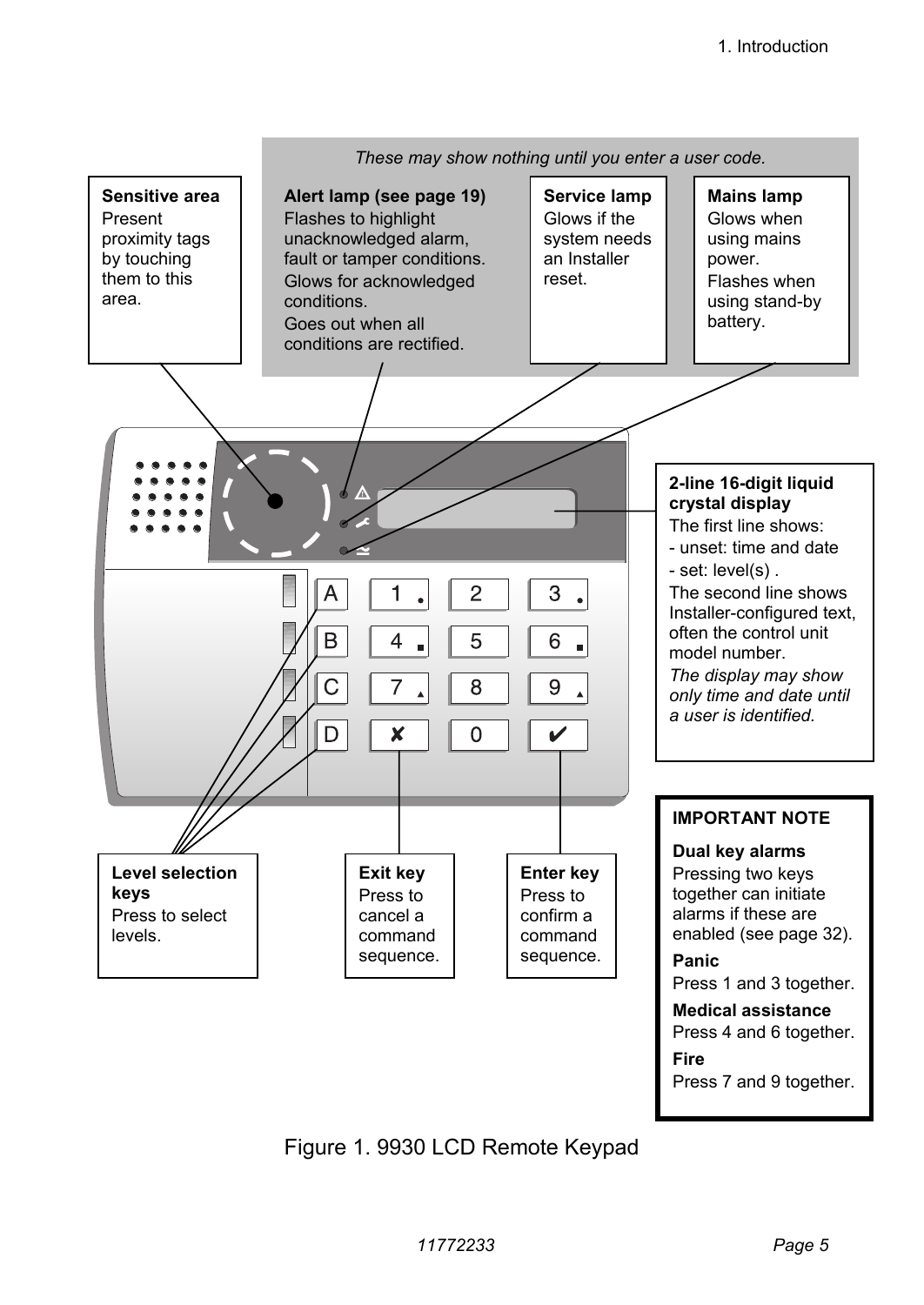

Figure 1. 9930 LCD Remote Keypad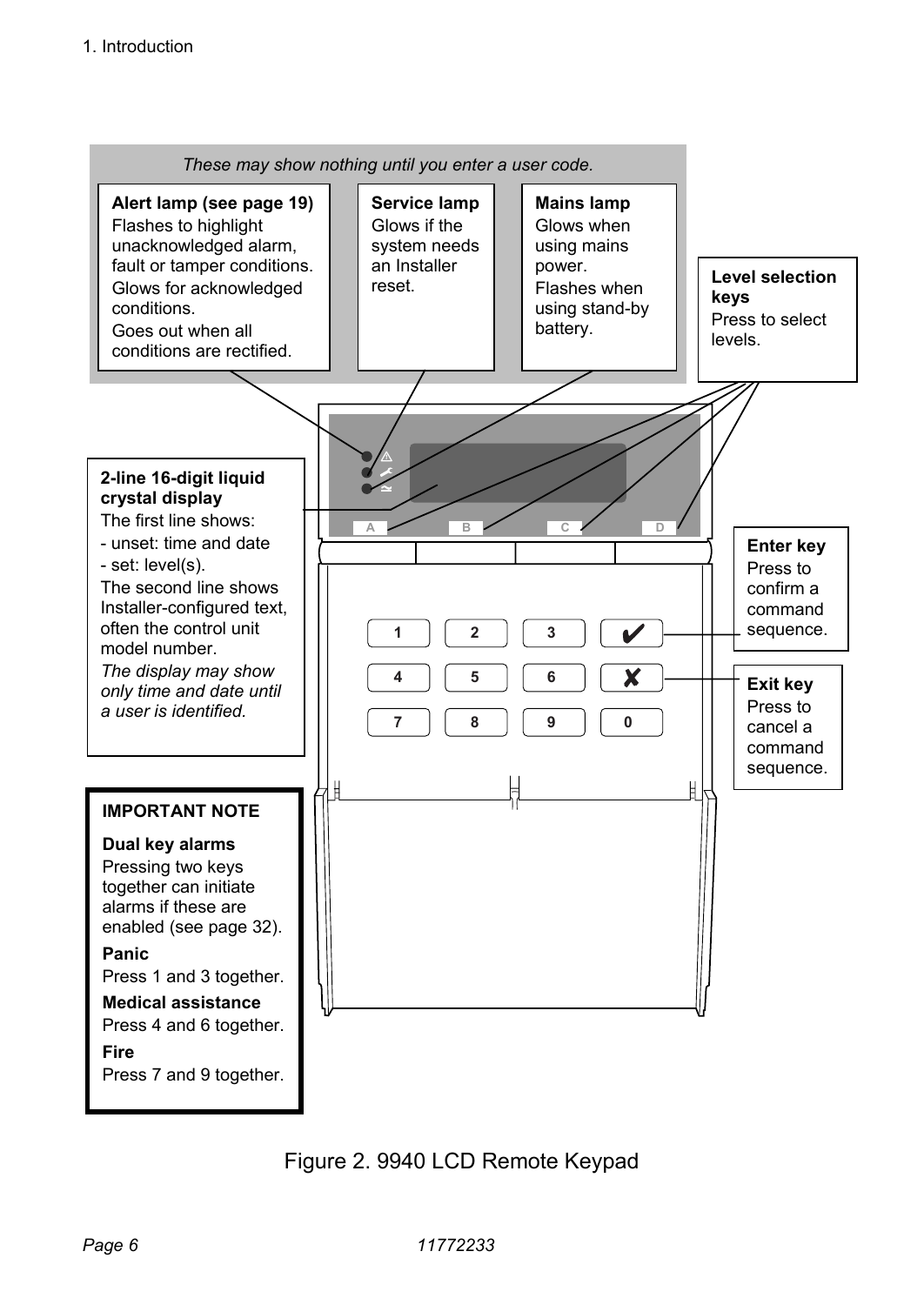

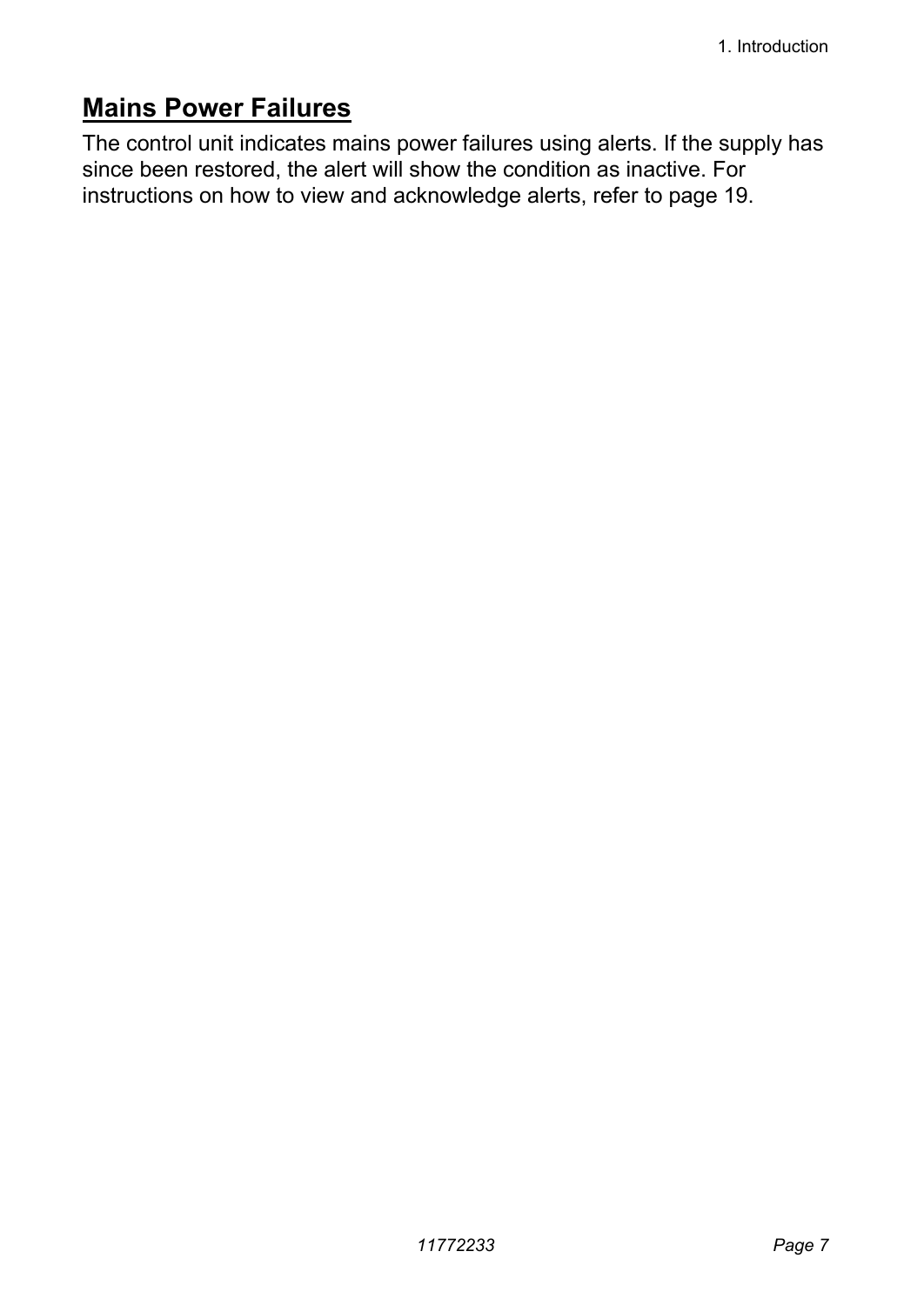### **Mains Power Failures**

The control unit indicates mains power failures using alerts. If the supply has since been restored, the alert will show the condition as inactive. For instructions on how to view and acknowledge alerts, refer to page 19.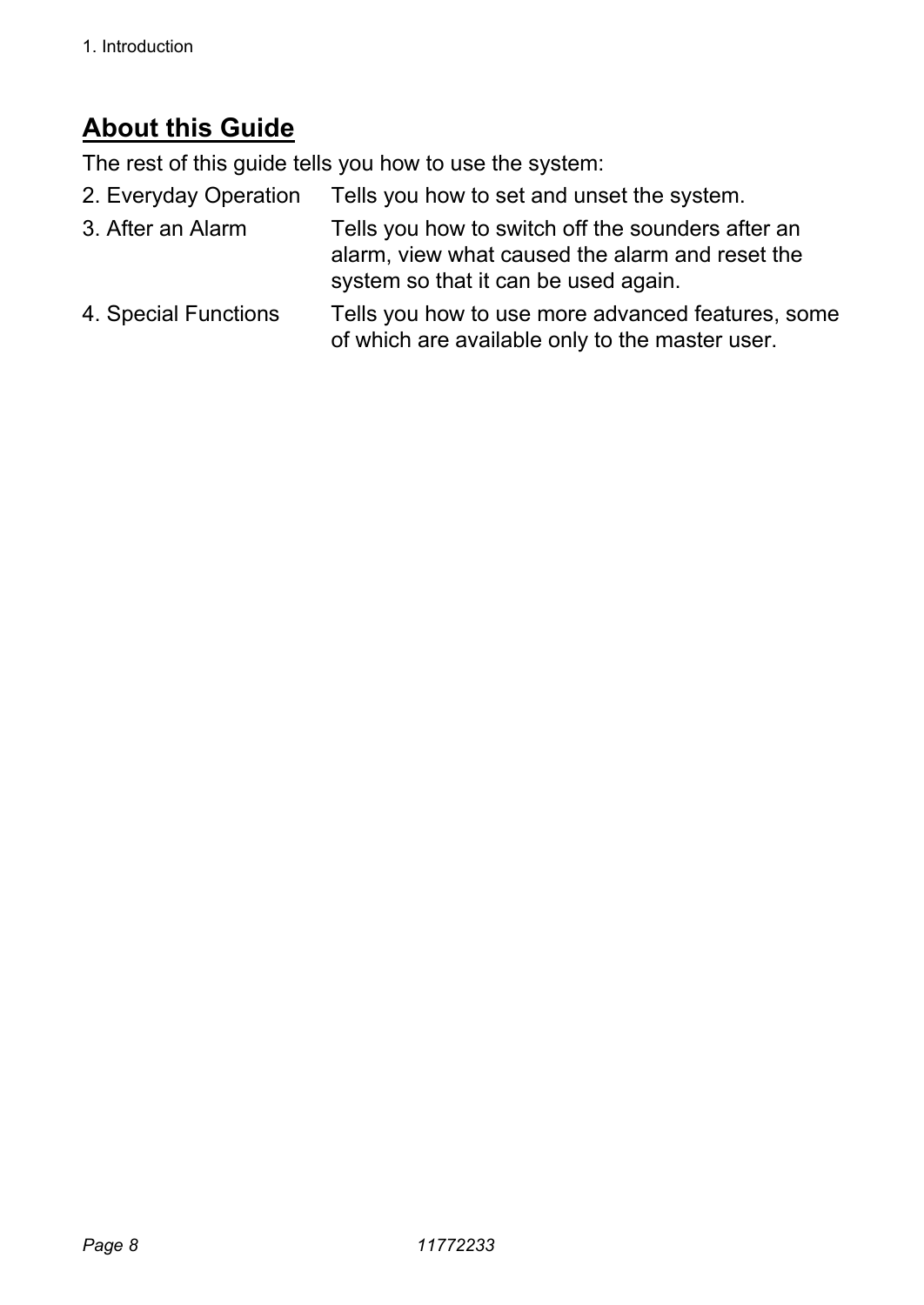## **About this Guide**

The rest of this guide tells you how to use the system:

- 2. Everyday Operation Tells you how to set and unset the system.
- 3. After an Alarm Tells you how to switch off the sounders after an alarm, view what caused the alarm and reset the system so that it can be used again.
- 4. Special Functions Tells you how to use more advanced features, some of which are available only to the master user.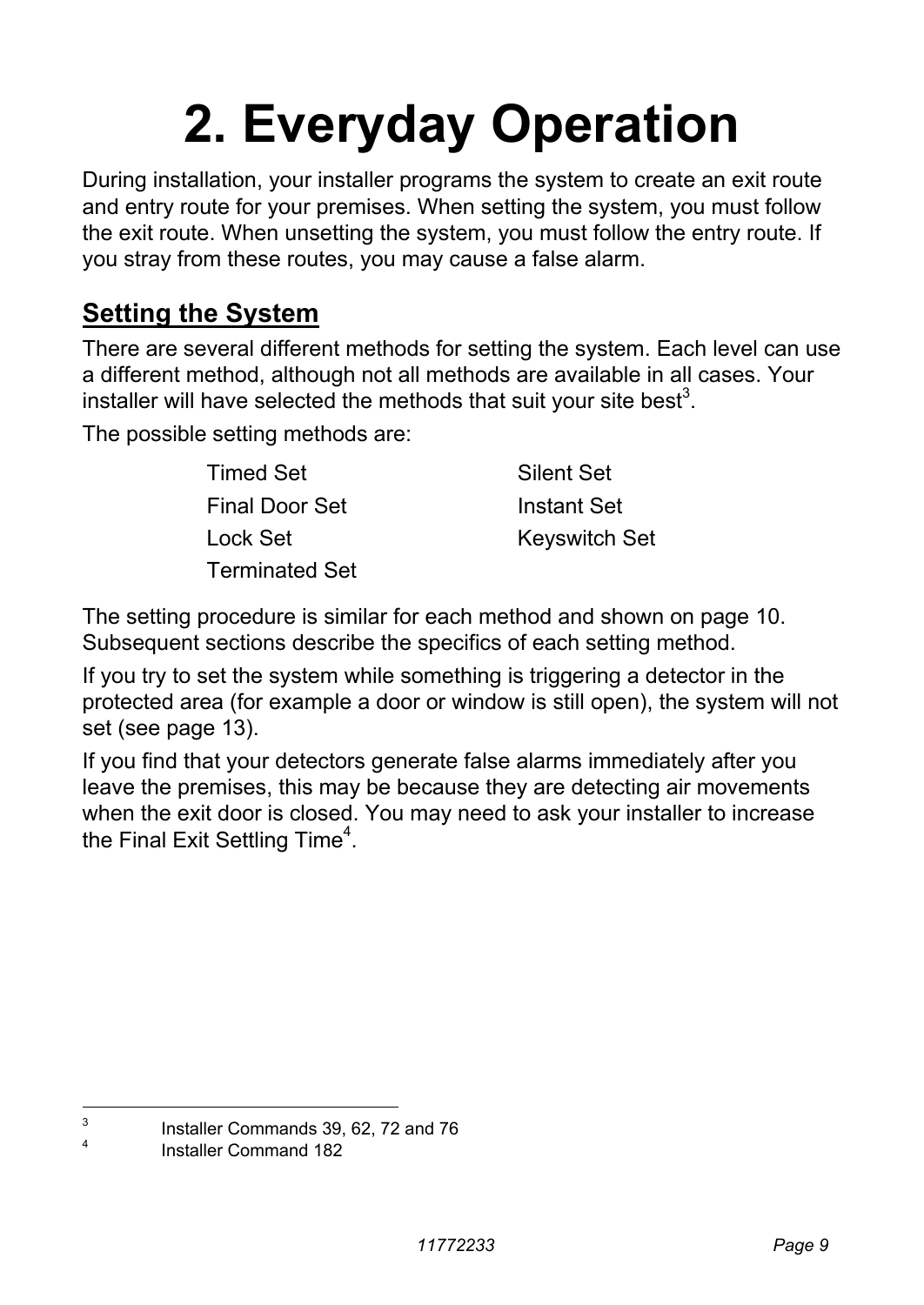## **2. Everyday Operation**

During installation, your installer programs the system to create an exit route and entry route for your premises. When setting the system, you must follow the exit route. When unsetting the system, you must follow the entry route. If you stray from these routes, you may cause a false alarm.

### **Setting the System**

There are several different methods for setting the system. Each level can use a different method, although not all methods are available in all cases. Your installer will have selected the methods that suit your site best<sup>3</sup>.

The possible setting methods are:

| Timed Set      | Silent Set           |
|----------------|----------------------|
| Final Door Set | Instant Set          |
| Lock Set       | <b>Keyswitch Set</b> |
| Terminated Set |                      |

The setting procedure is similar for each method and shown on page 10. Subsequent sections describe the specifics of each setting method.

If you try to set the system while something is triggering a detector in the protected area (for example a door or window is still open), the system will not set (see page 13).

If you find that your detectors generate false alarms immediately after you leave the premises, this may be because they are detecting air movements when the exit door is closed. You may need to ask your installer to increase the Final Exit Settling Time<sup>4</sup>.

<sup>-&</sup>lt;br>3

Installer Commands 39, 62, 72 and 76

<sup>4</sup> Installer Command 182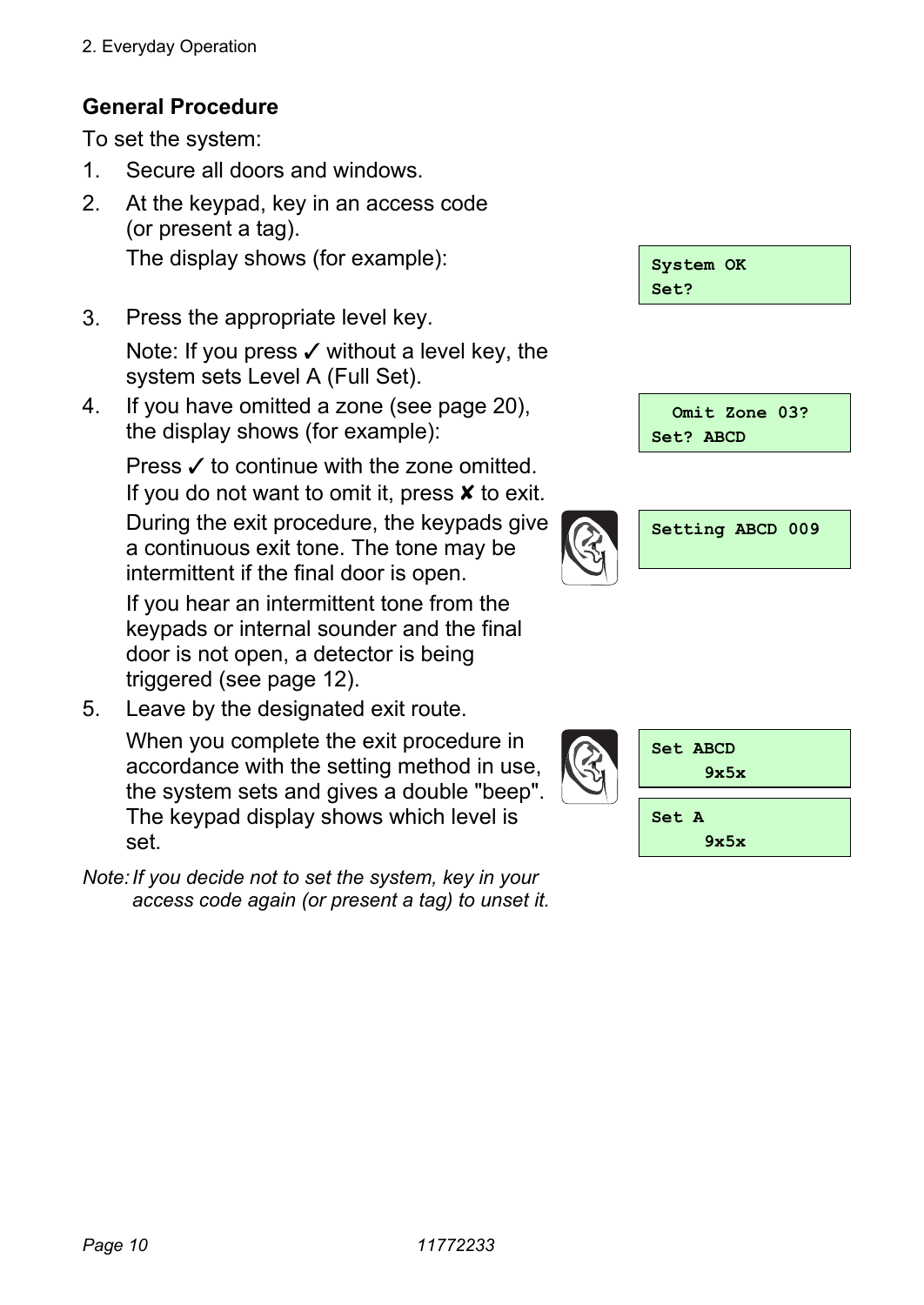#### **General Procedure**

To set the system:

- 1. Secure all doors and windows.
- 2. At the keypad, key in an access code (or present a tag). The display shows (for example):
- 3. Press the appropriate level key. Note: If you press  $\checkmark$  without a level key, the system sets Level A (Full Set).
- 4. If you have omitted a zone (see page 20), the display shows (for example):

Press  $\checkmark$  to continue with the zone omitted. If you do not want to omit it, press  $\boldsymbol{\mathsf{x}}$  to exit. During the exit procedure, the keypads give a continuous exit tone. The tone may be intermittent if the final door is open.

 If you hear an intermittent tone from the keypads or internal sounder and the final door is not open, a detector is being triggered (see page 12).

5. Leave by the designated exit route.

 When you complete the exit procedure in accordance with the setting method in use, the system sets and gives a double "beep". The keypad display shows which level is set.

*Note: If you decide not to set the system, key in your access code again (or present a tag) to unset it.* 

| System OK |  |
|-----------|--|
| Set?      |  |





| Set ABCD<br>9x5x |
|------------------|
| Set A<br>9x5x    |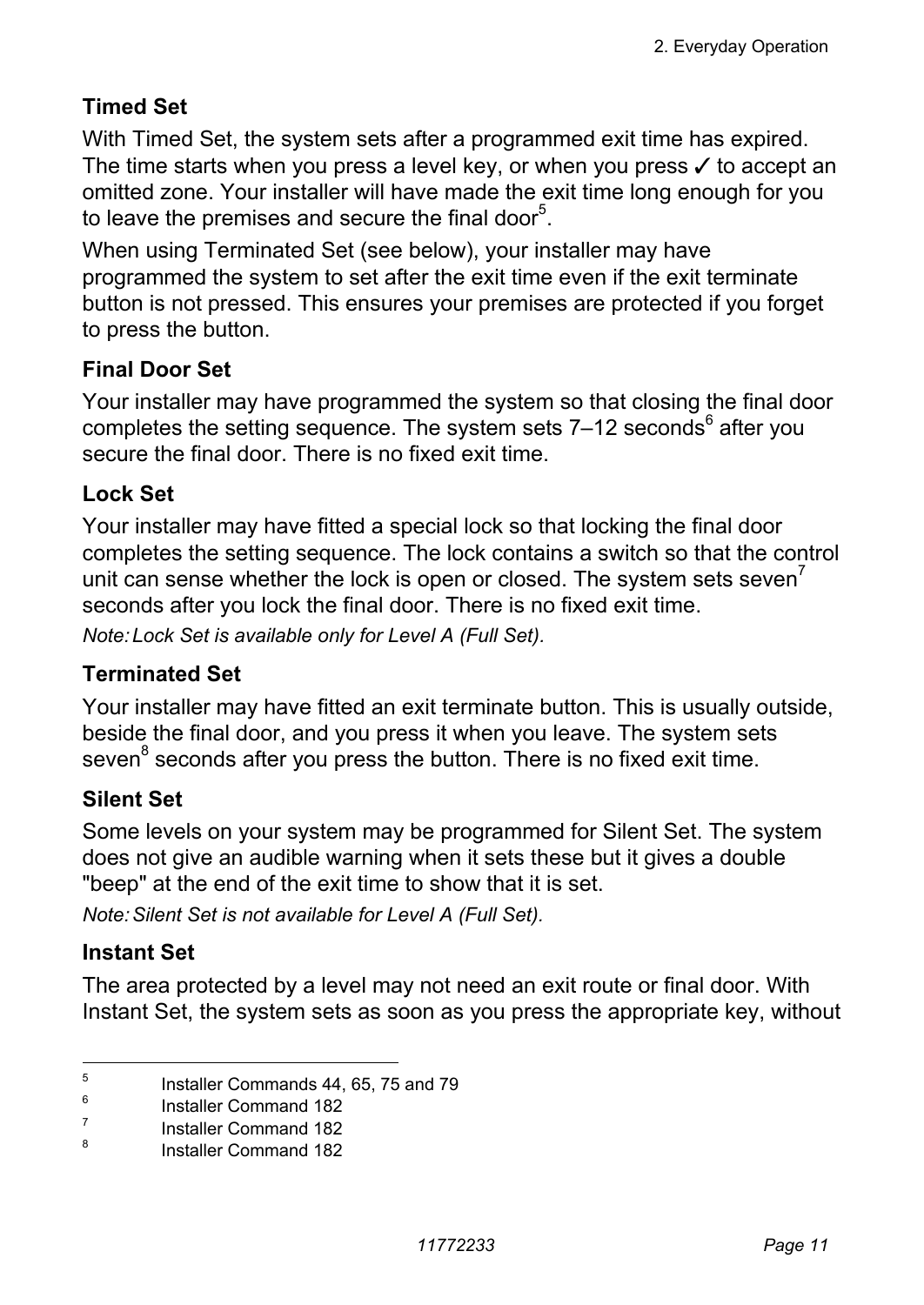#### **Timed Set**

With Timed Set, the system sets after a programmed exit time has expired. The time starts when you press a level key, or when you press  $\checkmark$  to accept an omitted zone. Your installer will have made the exit time long enough for you to leave the premises and secure the final door<sup>5</sup>.

When using Terminated Set (see below), your installer may have programmed the system to set after the exit time even if the exit terminate button is not pressed. This ensures your premises are protected if you forget to press the button.

#### **Final Door Set**

Your installer may have programmed the system so that closing the final door completes the setting sequence. The system sets  $7-12$  seconds<sup>6</sup> after you secure the final door. There is no fixed exit time

#### **Lock Set**

Your installer may have fitted a special lock so that locking the final door completes the setting sequence. The lock contains a switch so that the control unit can sense whether the lock is open or closed. The system sets seven $<sup>7</sup>$ </sup> seconds after you lock the final door. There is no fixed exit time.

*Note: Lock Set is available only for Level A (Full Set).* 

#### **Terminated Set**

Your installer may have fitted an exit terminate button. This is usually outside, beside the final door, and you press it when you leave. The system sets seven<sup>8</sup> seconds after you press the button. There is no fixed exit time.

#### **Silent Set**

Some levels on your system may be programmed for Silent Set. The system does not give an audible warning when it sets these but it gives a double "beep" at the end of the exit time to show that it is set.

*Note: Silent Set is not available for Level A (Full Set).* 

#### **Instant Set**

The area protected by a level may not need an exit route or final door. With Instant Set, the system sets as soon as you press the appropriate key, without

<sup>-&</sup>lt;br>5 Installer Commands 44, 65, 75 and 79 6

Installer Command 182 7

Installer Command 182

<sup>8</sup> Installer Command 182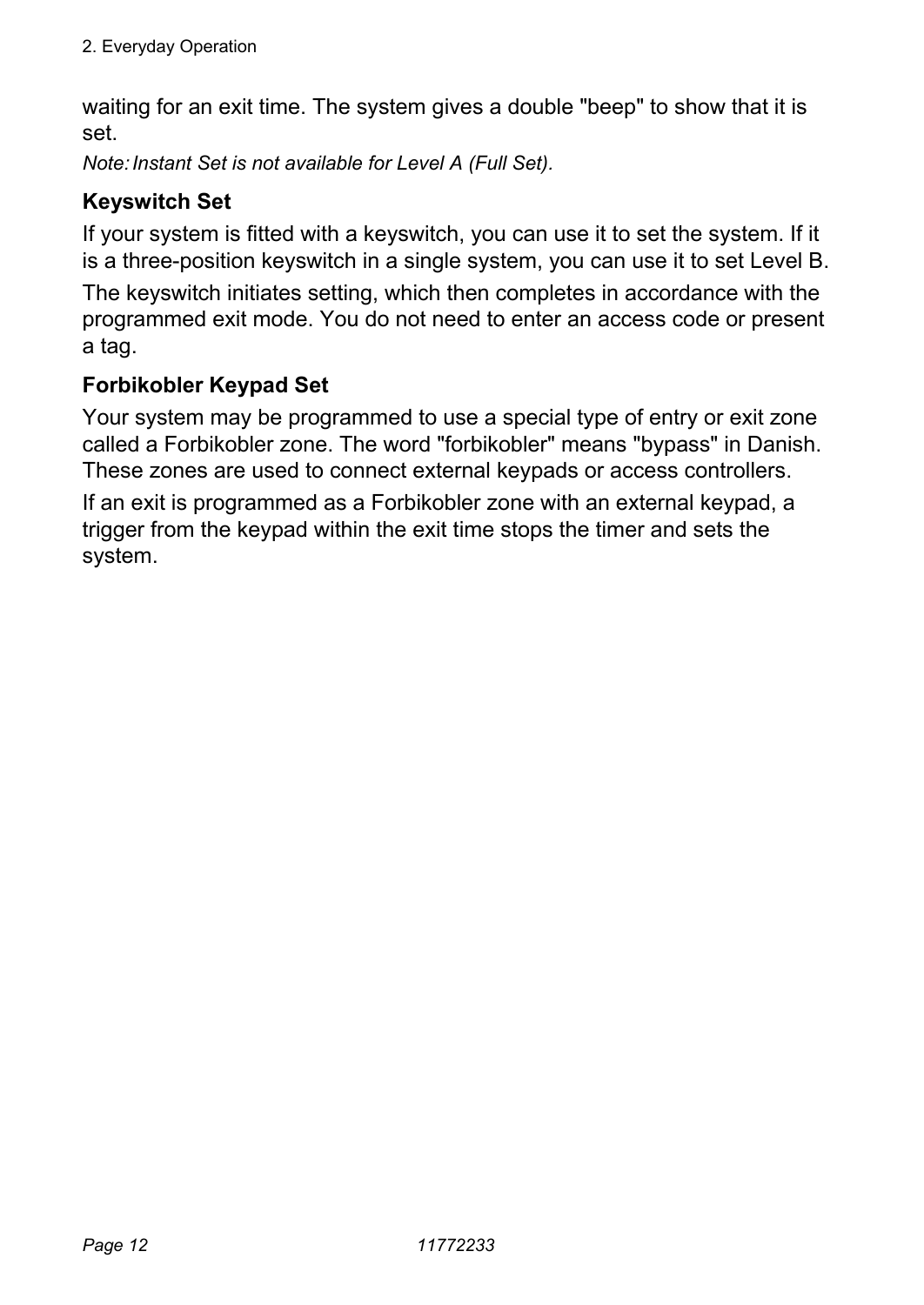waiting for an exit time. The system gives a double "beep" to show that it is set.

*Note: Instant Set is not available for Level A (Full Set).* 

#### **Keyswitch Set**

If your system is fitted with a keyswitch, you can use it to set the system. If it is a three-position keyswitch in a single system, you can use it to set Level B.

The keyswitch initiates setting, which then completes in accordance with the programmed exit mode. You do not need to enter an access code or present a tag.

#### **Forbikobler Keypad Set**

Your system may be programmed to use a special type of entry or exit zone called a Forbikobler zone. The word "forbikobler" means "bypass" in Danish. These zones are used to connect external keypads or access controllers.

If an exit is programmed as a Forbikobler zone with an external keypad, a trigger from the keypad within the exit time stops the timer and sets the system.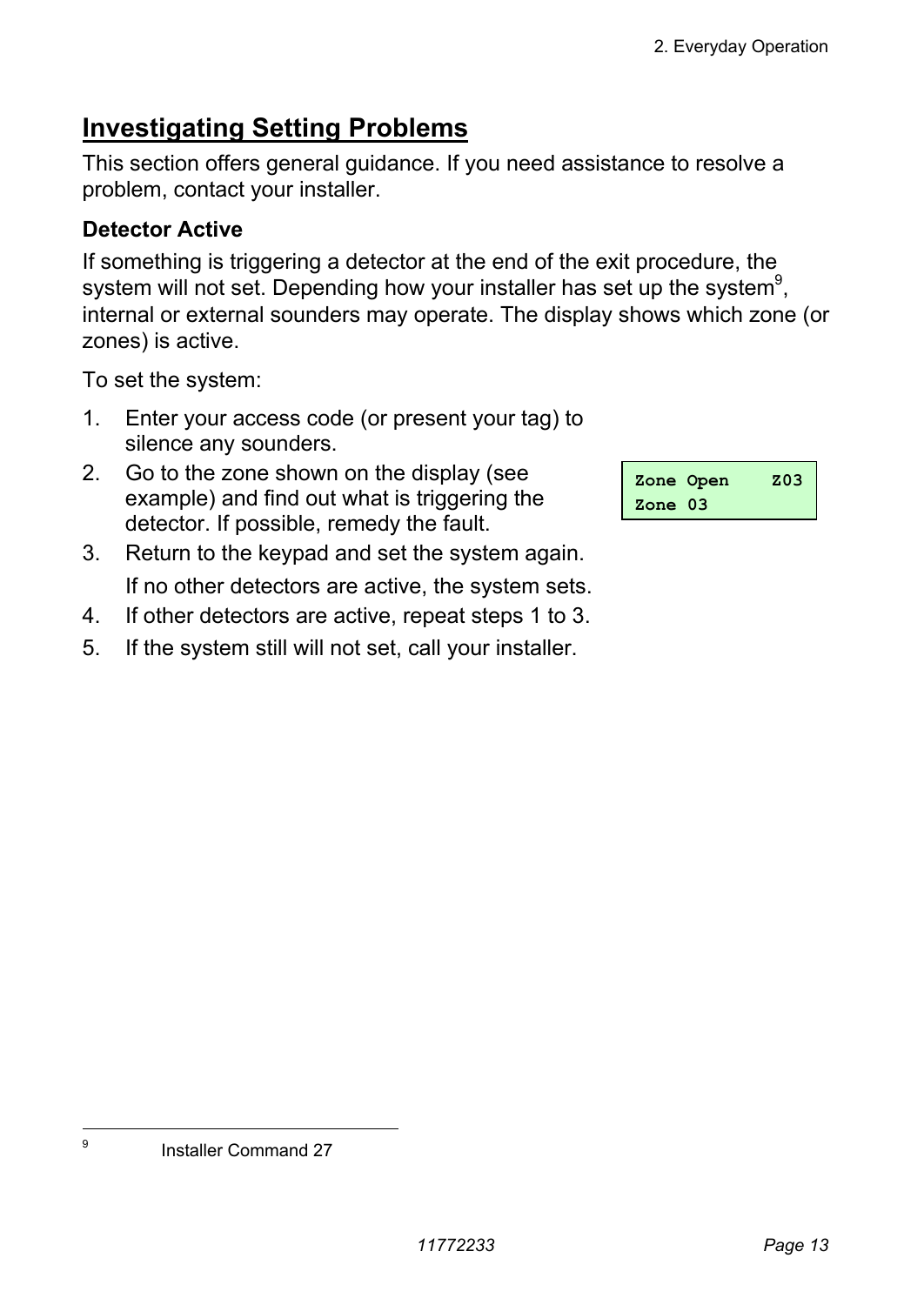## **Investigating Setting Problems**

This section offers general guidance. If you need assistance to resolve a problem, contact your installer.

### **Detector Active**

If something is triggering a detector at the end of the exit procedure, the system will not set. Depending how your installer has set up the system $9^9$ , internal or external sounders may operate. The display shows which zone (or zones) is active.

To set the system:

- 1. Enter your access code (or present your tag) to silence any sounders.
- 2. Go to the zone shown on the display (see example) and find out what is triggering the detector. If possible, remedy the fault.
- 3. Return to the keypad and set the system again. If no other detectors are active, the system sets.
- 4. If other detectors are active, repeat steps 1 to 3.
- 5. If the system still will not set, call your installer.

|                  | Zone Open | z03 |
|------------------|-----------|-----|
| $\text{Zone}$ 03 |           |     |

-<br>9

Installer Command 27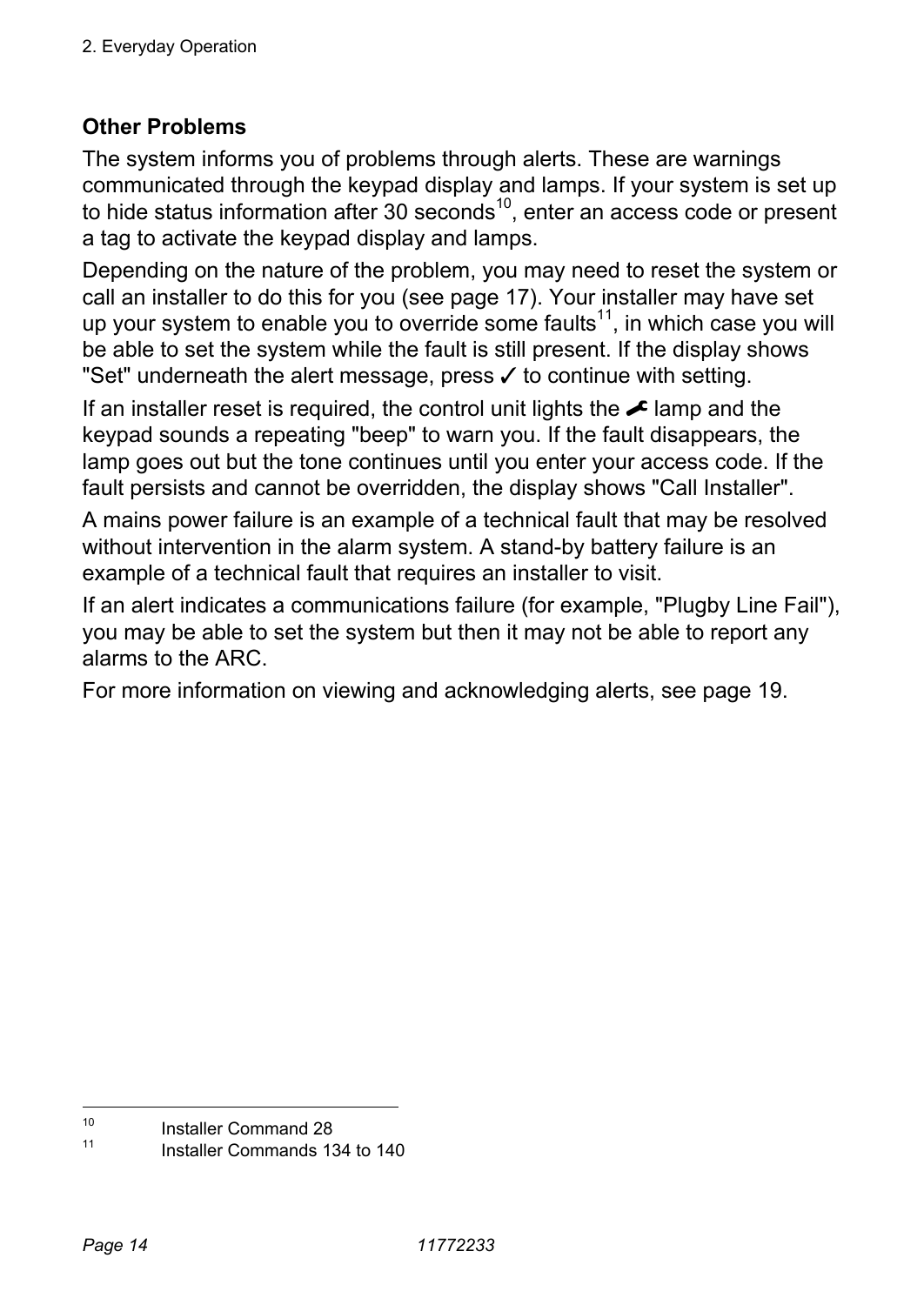#### **Other Problems**

The system informs you of problems through alerts. These are warnings communicated through the keypad display and lamps. If your system is set up to hide status information after 30 seconds<sup>10</sup>, enter an access code or present a tag to activate the keypad display and lamps.

Depending on the nature of the problem, you may need to reset the system or call an installer to do this for you (see page 17). Your installer may have set up your system to enable you to override some faults<sup>11</sup>, in which case you will be able to set the system while the fault is still present. If the display shows "Set" underneath the alert message, press  $\checkmark$  to continue with setting.

If an installer reset is required, the control unit lights the  $\blacktriangleright$  lamp and the keypad sounds a repeating "beep" to warn you. If the fault disappears, the lamp goes out but the tone continues until you enter your access code. If the fault persists and cannot be overridden, the display shows "Call Installer".

A mains power failure is an example of a technical fault that may be resolved without intervention in the alarm system. A stand-by battery failure is an example of a technical fault that requires an installer to visit.

If an alert indicates a communications failure (for example, "Plugby Line Fail"), you may be able to set the system but then it may not be able to report any alarms to the ARC.

For more information on viewing and acknowledging alerts, see page 19.

 $10$  $10$  Installer Command 28

Installer Commands 134 to 140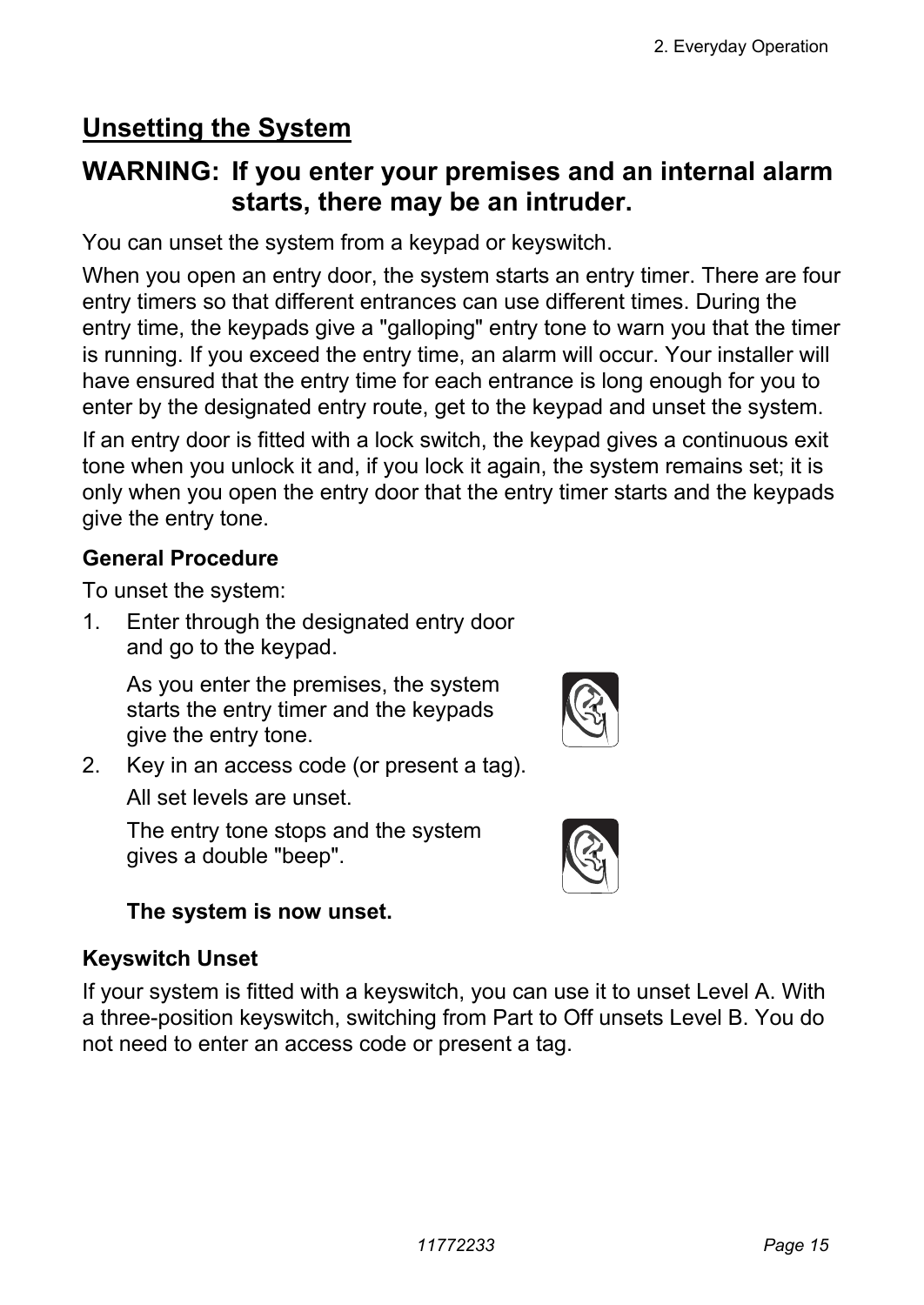## **Unsetting the System**

#### **WARNING: If you enter your premises and an internal alarm starts, there may be an intruder.**

You can unset the system from a keypad or keyswitch.

When you open an entry door, the system starts an entry timer. There are four entry timers so that different entrances can use different times. During the entry time, the keypads give a "galloping" entry tone to warn you that the timer is running. If you exceed the entry time, an alarm will occur. Your installer will have ensured that the entry time for each entrance is long enough for you to enter by the designated entry route, get to the keypad and unset the system.

If an entry door is fitted with a lock switch, the keypad gives a continuous exit tone when you unlock it and, if you lock it again, the system remains set; it is only when you open the entry door that the entry timer starts and the keypads give the entry tone.

#### **General Procedure**

To unset the system:

1. Enter through the designated entry door and go to the keypad.

 As you enter the premises, the system starts the entry timer and the keypads give the entry tone.

- 
- 2. Key in an access code (or present a tag).

All set levels are unset.

 The entry tone stops and the system gives a double "beep".



#### **The system is now unset.**

#### **Keyswitch Unset**

If your system is fitted with a keyswitch, you can use it to unset Level A. With a three-position keyswitch, switching from Part to Off unsets Level B. You do not need to enter an access code or present a tag.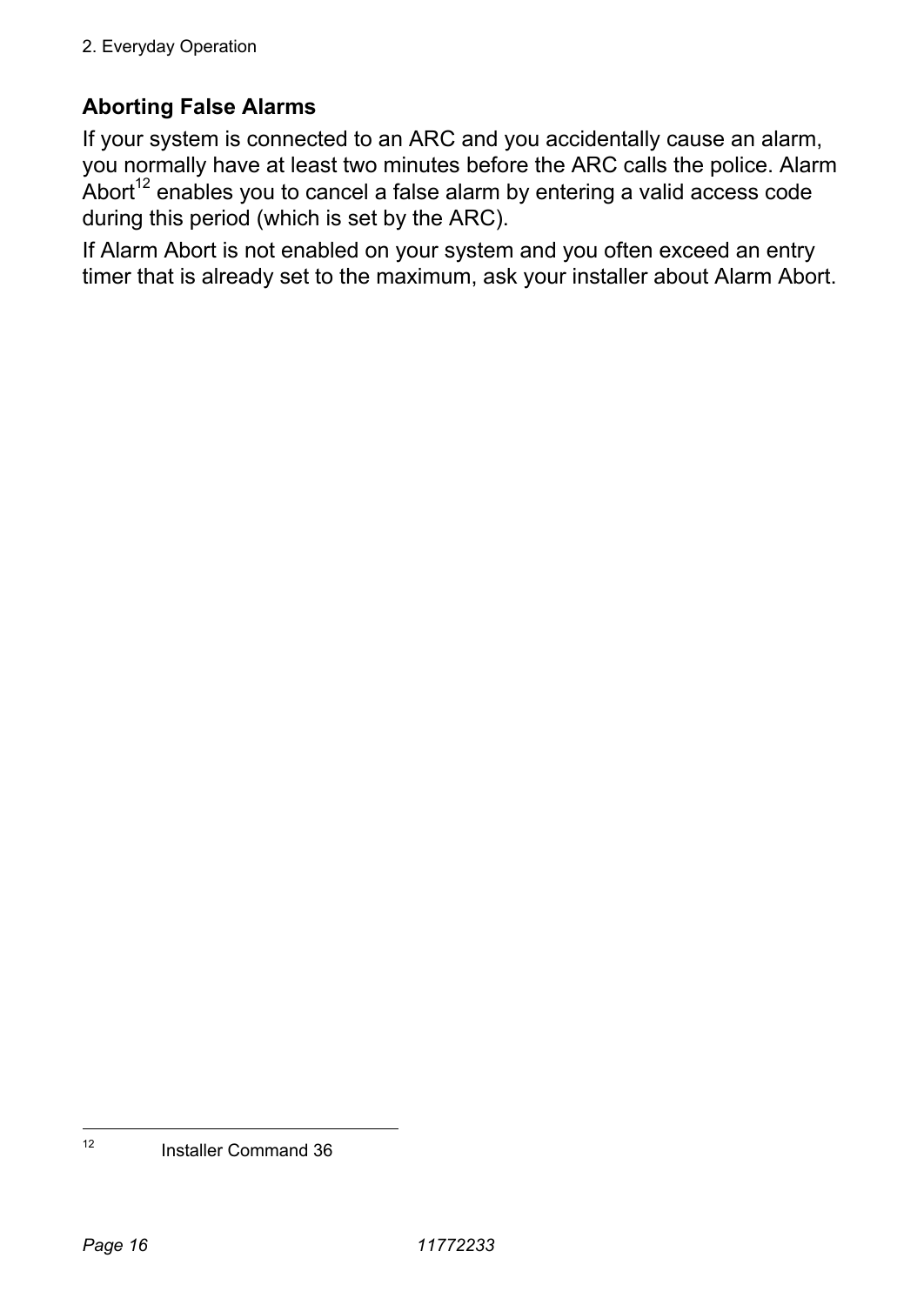#### **Aborting False Alarms**

If your system is connected to an ARC and you accidentally cause an alarm, you normally have at least two minutes before the ARC calls the police. Alarm Abort<sup>12</sup> enables you to cancel a false alarm by entering a valid access code during this period (which is set by the ARC).

If Alarm Abort is not enabled on your system and you often exceed an entry timer that is already set to the maximum, ask your installer about Alarm Abort.

 $12$ 12 Installer Command 36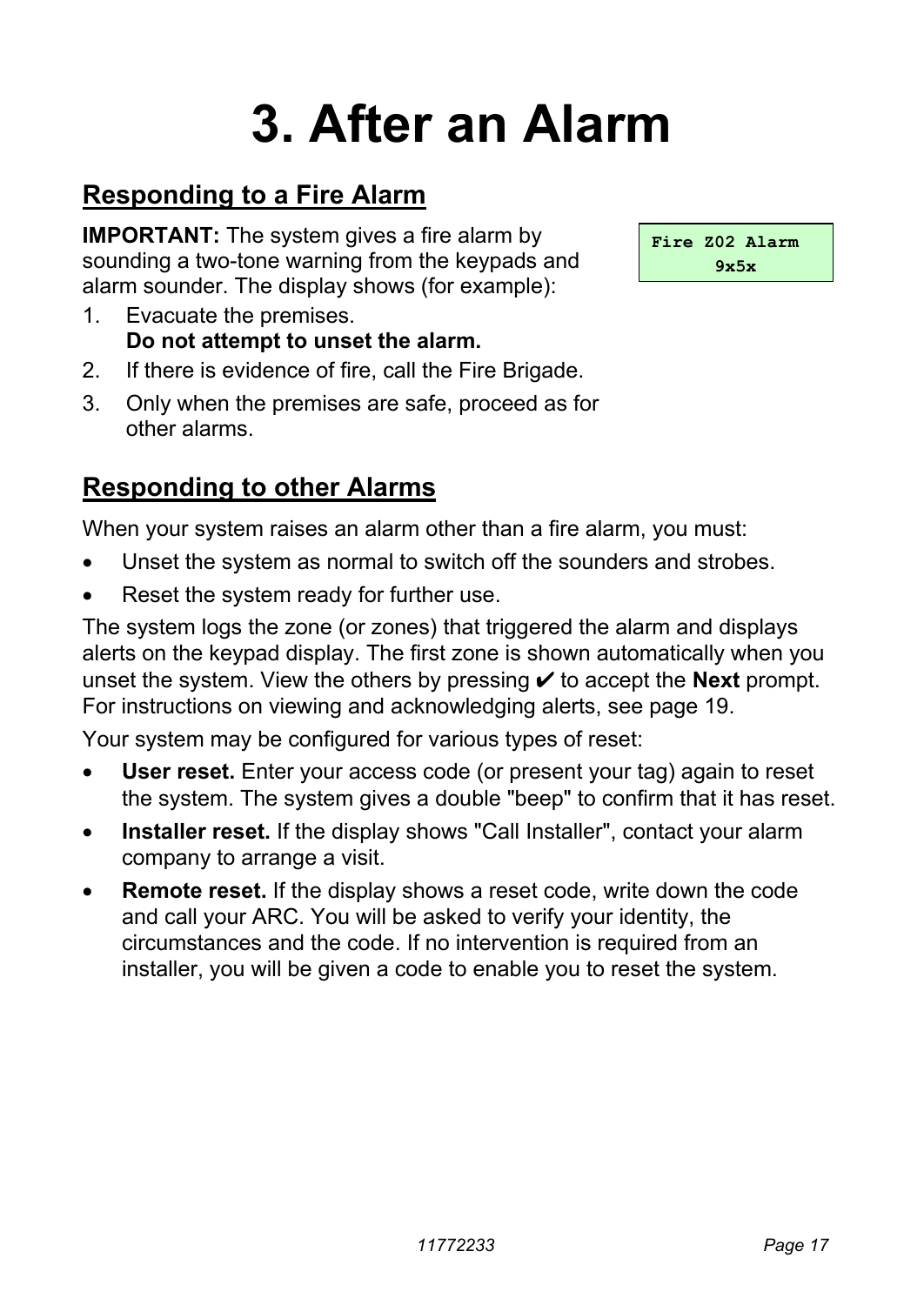## **3. After an Alarm**

## **Responding to a Fire Alarm**

**IMPORTANT:** The system gives a fire alarm by sounding a two-tone warning from the keypads and alarm sounder. The display shows (for example):

- 1. Evacuate the premises. **Do not attempt to unset the alarm.**
- 2. If there is evidence of fire, call the Fire Brigade.
- 3. Only when the premises are safe, proceed as for other alarms.

## **Responding to other Alarms**

When your system raises an alarm other than a fire alarm, you must:

- Unset the system as normal to switch off the sounders and strobes.
- Reset the system ready for further use.

The system logs the zone (or zones) that triggered the alarm and displays alerts on the keypad display. The first zone is shown automatically when you unset the system. View the others by pressing  $\vee$  to accept the **Next** prompt. For instructions on viewing and acknowledging alerts, see page 19.

Your system may be configured for various types of reset:

- **User reset.** Enter your access code (or present your tag) again to reset the system. The system gives a double "beep" to confirm that it has reset.
- **Installer reset.** If the display shows "Call Installer", contact your alarm company to arrange a visit.
- **Remote reset.** If the display shows a reset code, write down the code and call your ARC. You will be asked to verify your identity, the circumstances and the code. If no intervention is required from an installer, you will be given a code to enable you to reset the system.

**Fire Z02 Alarm 9x5x**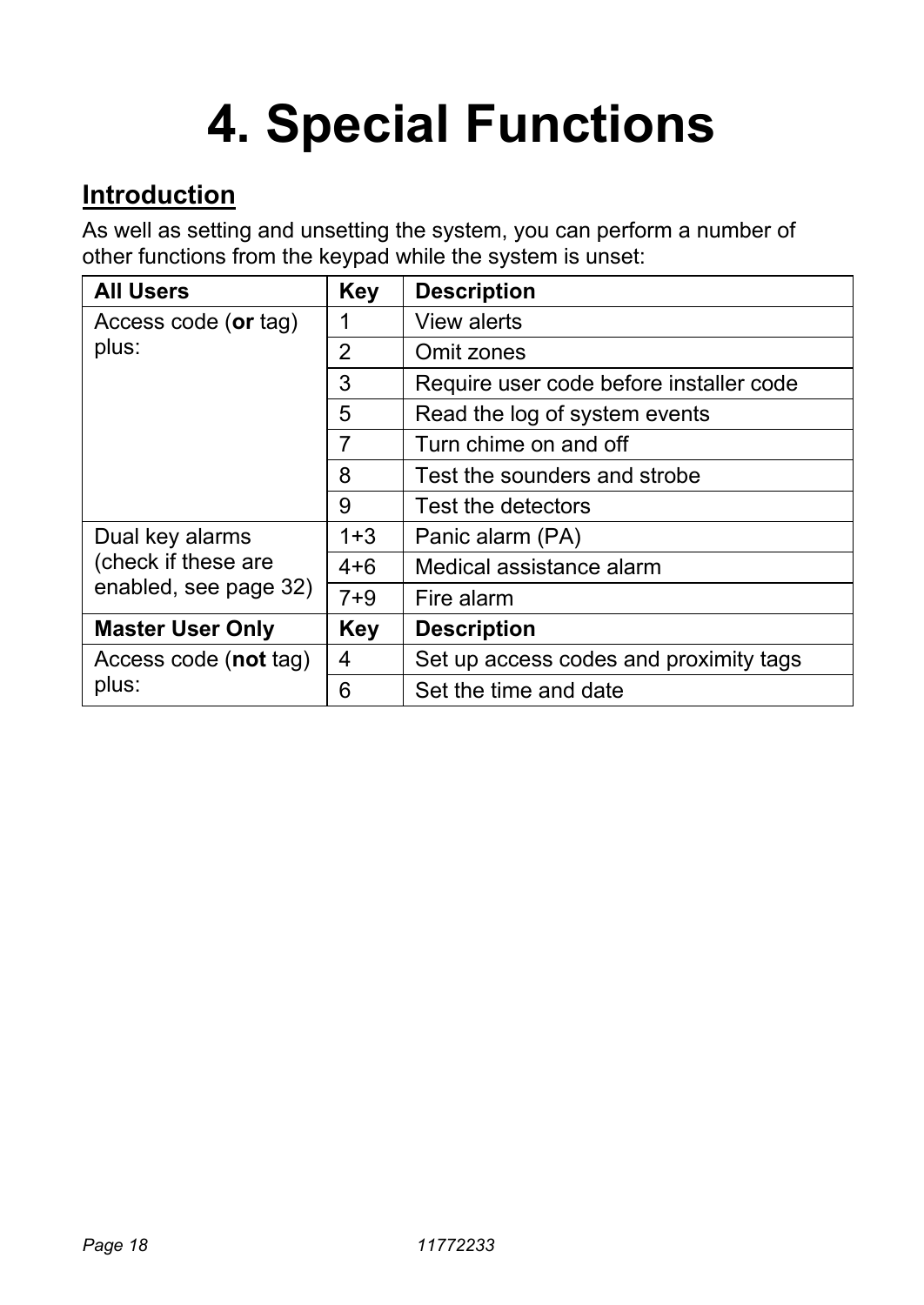## **4. Special Functions**

### **Introduction**

As well as setting and unsetting the system, you can perform a number of other functions from the keypad while the system is unset:

| <b>All Users</b>        | <b>Key</b> | <b>Description</b>                      |  |
|-------------------------|------------|-----------------------------------------|--|
| Access code (or tag)    |            | View alerts                             |  |
| plus:                   | 2          | Omit zones                              |  |
|                         | 3          | Require user code before installer code |  |
|                         | 5          | Read the log of system events           |  |
|                         | 7          | Turn chime on and off                   |  |
|                         | 8          | Test the sounders and strobe            |  |
|                         | 9          | Test the detectors                      |  |
| Dual key alarms         | 1+3        | Panic alarm (PA)                        |  |
| (check if these are     | $4 + 6$    | Medical assistance alarm                |  |
| enabled, see page 32)   | $7 + 9$    | Fire alarm                              |  |
| <b>Master User Only</b> | Key        | <b>Description</b>                      |  |
| Access code (not tag)   | 4          | Set up access codes and proximity tags  |  |
| plus:                   | 6          | Set the time and date                   |  |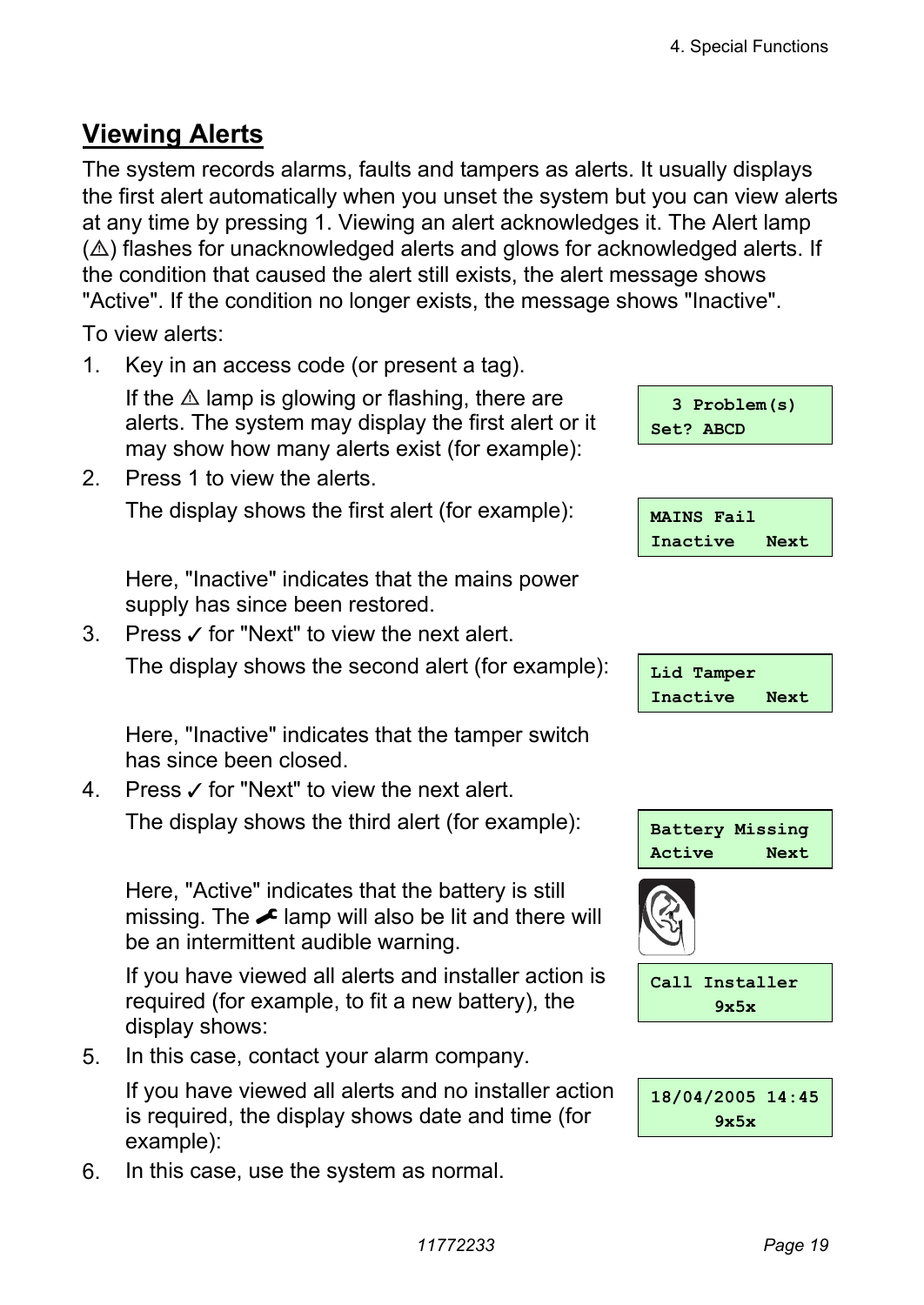## **Viewing Alerts**

The system records alarms, faults and tampers as alerts. It usually displays the first alert automatically when you unset the system but you can view alerts at any time by pressing 1. Viewing an alert acknowledges it. The Alert lamp  $(\triangle)$  flashes for unacknowledged alerts and glows for acknowledged alerts. If the condition that caused the alert still exists, the alert message shows "Active". If the condition no longer exists, the message shows "Inactive".

To view alerts:

1. Key in an access code (or present a tag).

If the  $\triangle$  lamp is glowing or flashing, there are alerts. The system may display the first alert or it may show how many alerts exist (for example):

2. Press 1 to view the alerts. The display shows the first alert (for example):

 Here, "Inactive" indicates that the mains power supply has since been restored.

3. Press  $\angle$  for "Next" to view the next alert.

The display shows the second alert (for example):

 Here, "Inactive" indicates that the tamper switch has since been closed.

4. Press  $\checkmark$  for "Next" to view the next alert.

The display shows the third alert (for example): **Battery Missing** 

 Here, "Active" indicates that the battery is still missing. The  $\triangle$  lamp will also be lit and there will be an intermittent audible warning.

If you have viewed all alerts and installer action is required (for example, to fit a new battery), the display shows:

5. In this case, contact your alarm company.

If you have viewed all alerts and no installer action is required, the display shows date and time (for example):

6. In this case, use the system as normal.



| <b>MAINS Fail</b> |      |
|-------------------|------|
| Inactive          | Next |

| Lid Tamper |      |
|------------|------|
| Inactive   | Next |



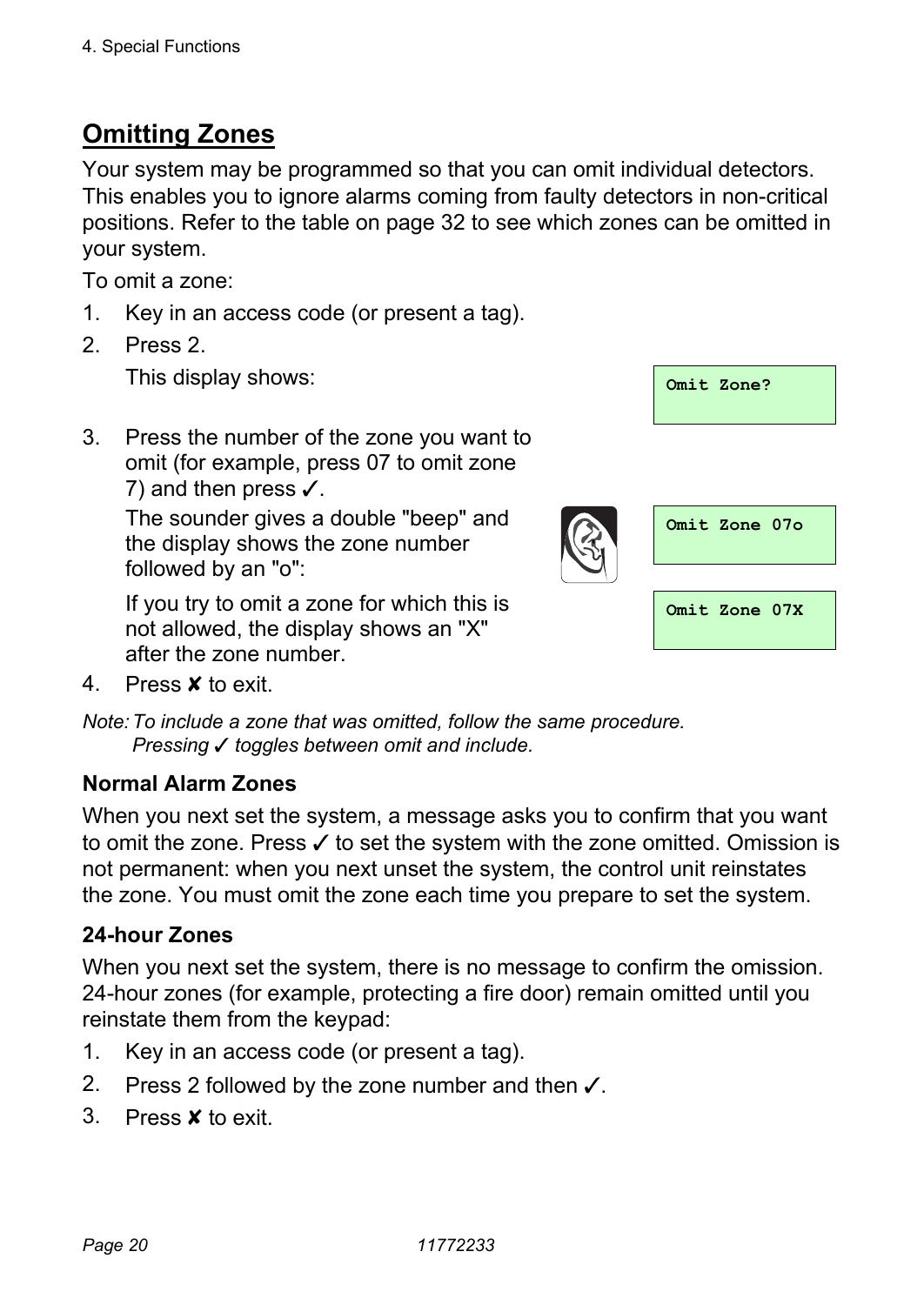## **Omitting Zones**

Your system may be programmed so that you can omit individual detectors. This enables you to ignore alarms coming from faulty detectors in non-critical positions. Refer to the table on page 32 to see which zones can be omitted in your system.

To omit a zone:

- 1. Key in an access code (or present a tag).
- 2. Press 2.

3. Press the number of the zone you want to omit (for example, press 07 to omit zone 7) and then press  $\checkmark$ .

The sounder gives a double "beep" and the display shows the zone number followed by an "o":



If you try to omit a zone for which this is not allowed, the display shows an "X" after the zone number.

4. Press X to exit.

*Note: To include a zone that was omitted, follow the same procedure. Pressing* y *toggles between omit and include.* 

#### **Normal Alarm Zones**

When you next set the system, a message asks you to confirm that you want to omit the zone. Press  $\checkmark$  to set the system with the zone omitted. Omission is not permanent: when you next unset the system, the control unit reinstates the zone. You must omit the zone each time you prepare to set the system.

#### **24-hour Zones**

When you next set the system, there is no message to confirm the omission. 24-hour zones (for example, protecting a fire door) remain omitted until you reinstate them from the keypad:

- 1. Key in an access code (or present a tag).
- 2. Press 2 followed by the zone number and then  $\checkmark$ .
- 3. Press **x** to exit.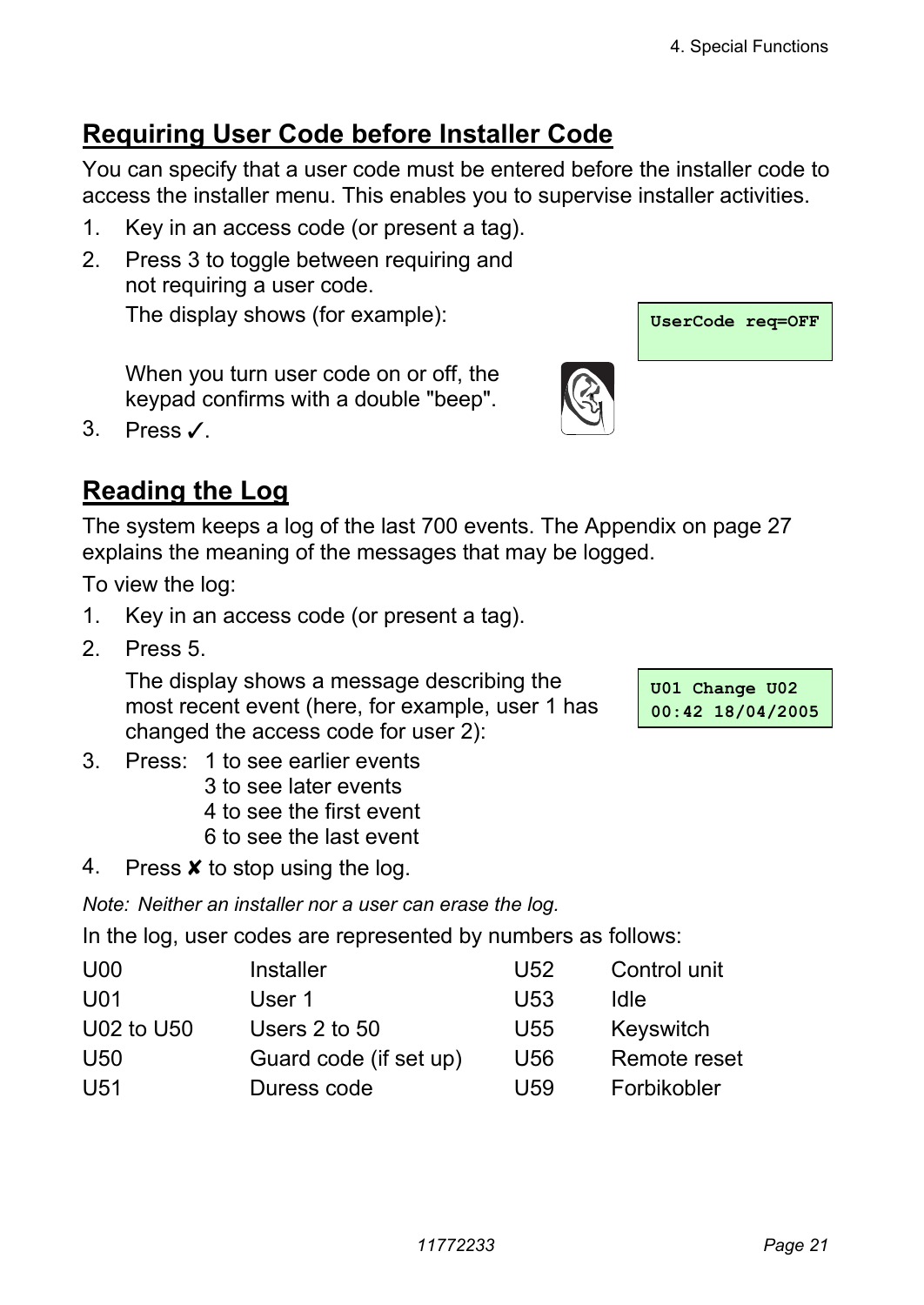## **Requiring User Code before Installer Code**

You can specify that a user code must be entered before the installer code to access the installer menu. This enables you to supervise installer activities.

- 1. Key in an access code (or present a tag).
- 2. Press 3 to toggle between requiring and not requiring a user code. The display shows (for example): **We use**  $\frac{1}{\text{UserCode } \text{req} = \text{OFF}}}$

When you turn user code on or off, the keypad confirms with a double "beep".

3. Press  $\angle$ 



The system keeps a log of the last 700 events. The Appendix on page 27 explains the meaning of the messages that may be logged.

To view the log:

- 1. Key in an access code (or present a tag).
- 2. Press 5.

 The display shows a message describing the most recent event (here, for example, user 1 has changed the access code for user 2):

**U01 Change U02 00:42 18/04/2005** 

- 3. Press: 1 to see earlier events 3 to see later events 4 to see the first event
	- 6 to see the last event
- 4. Press  $\boldsymbol{\mathsf{x}}$  to stop using the log.

*Note: Neither an installer nor a user can erase the log.* 

In the log, user codes are represented by numbers as follows:

| U <sub>00</sub> | Installer              | U52 | Control unit |
|-----------------|------------------------|-----|--------------|
| U01             | User 1                 | U53 | Idle         |
| U02 to U50      | Users 2 to 50          | U55 | Keyswitch    |
| U50             | Guard code (if set up) | U56 | Remote reset |
| U51             | Duress code            | U59 | Forbikobler  |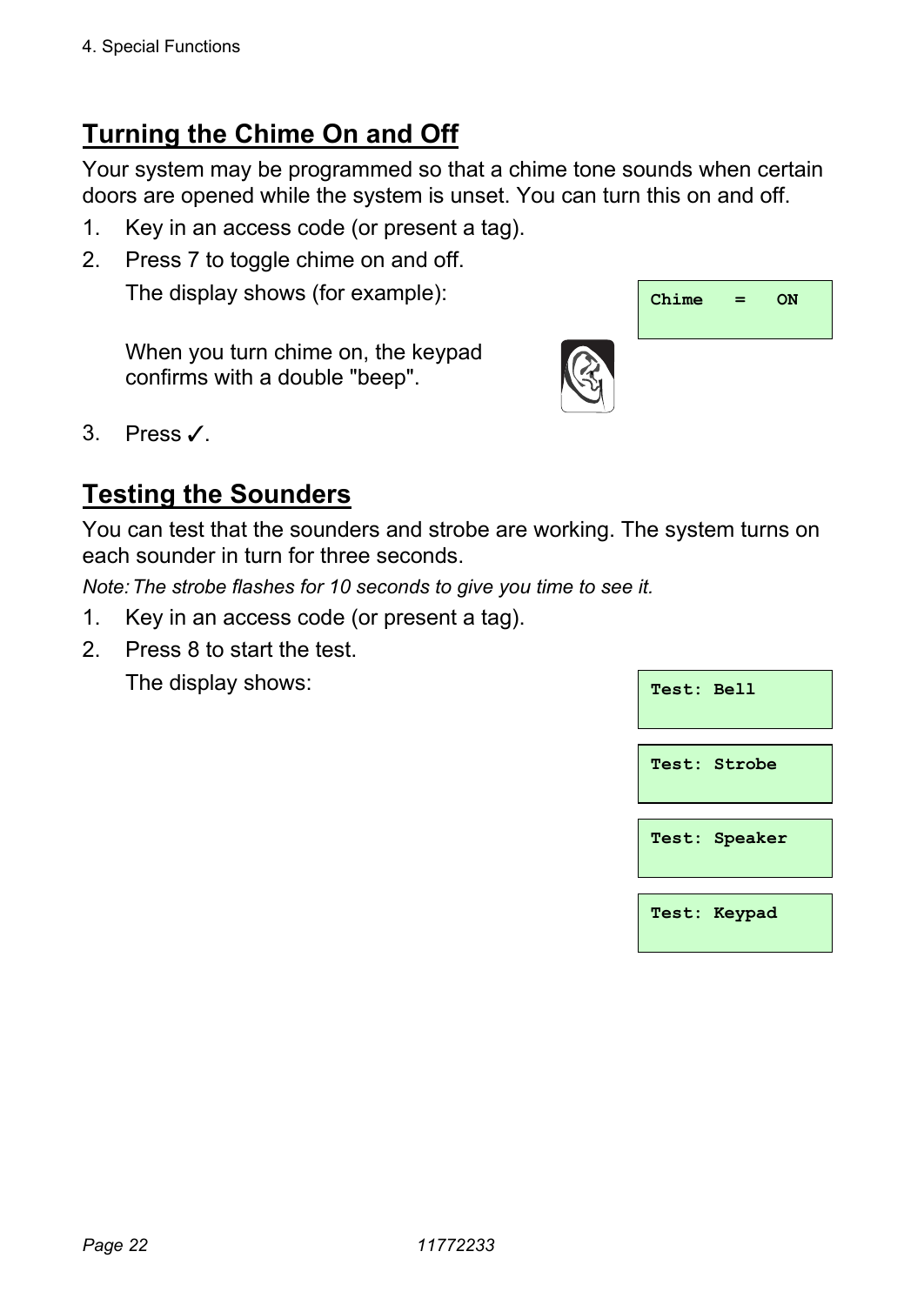## **Turning the Chime On and Off**

Your system may be programmed so that a chime tone sounds when certain doors are opened while the system is unset. You can turn this on and off.

- 1. Key in an access code (or present a tag).
- 2. Press 7 to toggle chime on and off. The display shows (for example):  $\sqrt{\frac{Chime}{Chime}} = \sqrt{N}$

When you turn chime on, the keypad confirms with a double "beep".



### **Testing the Sounders**

You can test that the sounders and strobe are working. The system turns on each sounder in turn for three seconds.

*Note: The strobe flashes for 10 seconds to give you time to see it.* 

- 1. Key in an access code (or present a tag).
- 2. Press 8 to start the test.

| The display shows: | Test: Bell    |
|--------------------|---------------|
|                    |               |
|                    | Test: Strobe  |
|                    |               |
|                    | Test: Speaker |
|                    |               |
|                    |               |
|                    | Test: Keypad  |

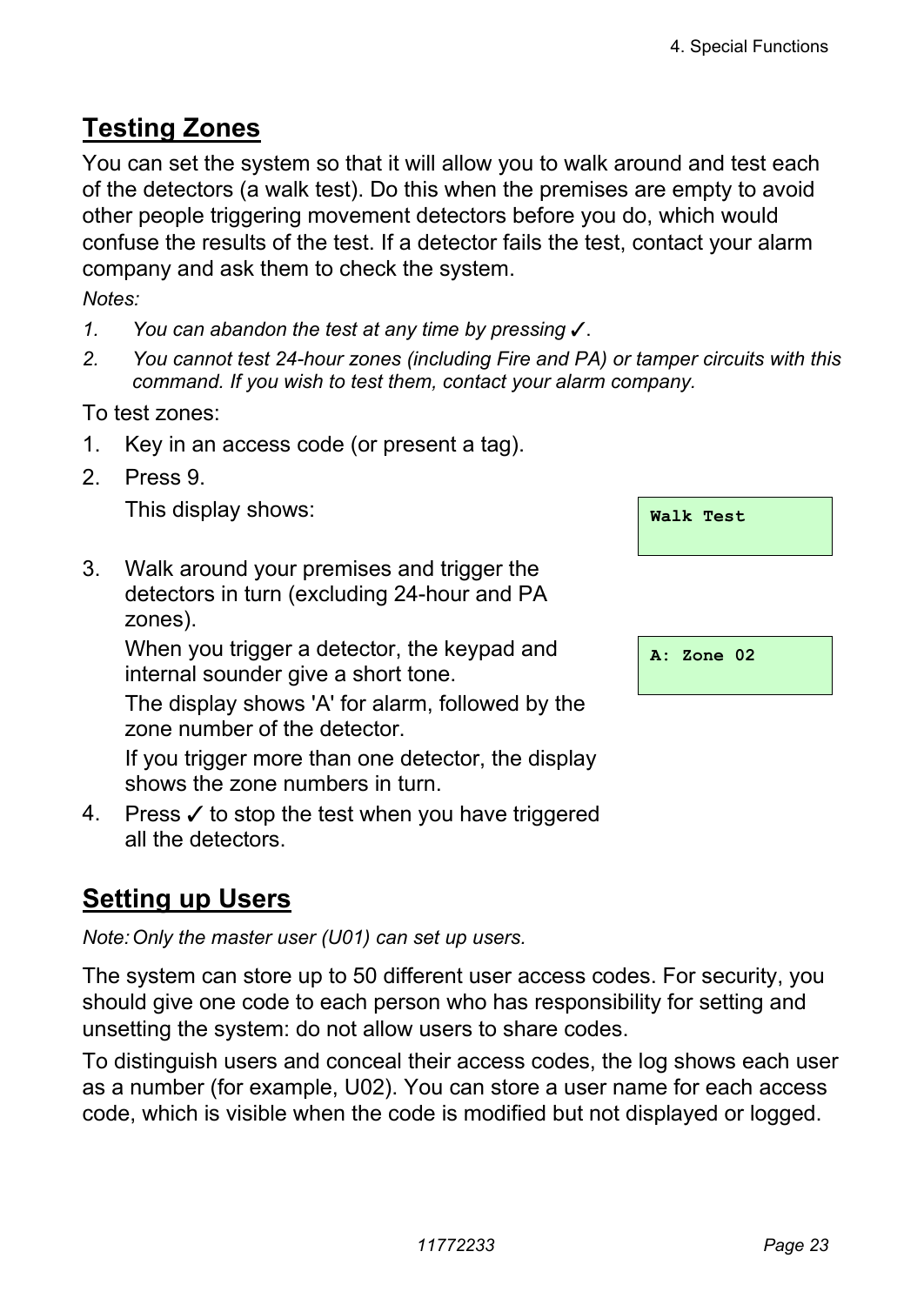## **Testing Zones**

You can set the system so that it will allow you to walk around and test each of the detectors (a walk test). Do this when the premises are empty to avoid other people triggering movement detectors before you do, which would confuse the results of the test. If a detector fails the test, contact your alarm company and ask them to check the system.

*Notes:* 

- *1. You can abandon the test at any time by pressing* y.
- *2. You cannot test 24-hour zones (including Fire and PA) or tamper circuits with this command. If you wish to test them, contact your alarm company.*

To test zones:

- 1. Key in an access code (or present a tag).
- 2. Press 9.

This display shows:

3. Walk around your premises and trigger the detectors in turn (excluding 24-hour and PA zones).

 When you trigger a detector, the keypad and internal sounder give a short tone.

The display shows 'A' for alarm, followed by the zone number of the detector.

If you trigger more than one detector, the display shows the zone numbers in turn.

4. Press  $\checkmark$  to stop the test when you have triggered all the detectors.

## **Setting up Users**

*Note: Only the master user (U01) can set up users.* 

The system can store up to 50 different user access codes. For security, you should give one code to each person who has responsibility for setting and unsetting the system: do not allow users to share codes.

To distinguish users and conceal their access codes, the log shows each user as a number (for example, U02). You can store a user name for each access code, which is visible when the code is modified but not displayed or logged.

| Walk Test |  |
|-----------|--|
|           |  |

|  | A: Zone 02 |  |  |
|--|------------|--|--|
|--|------------|--|--|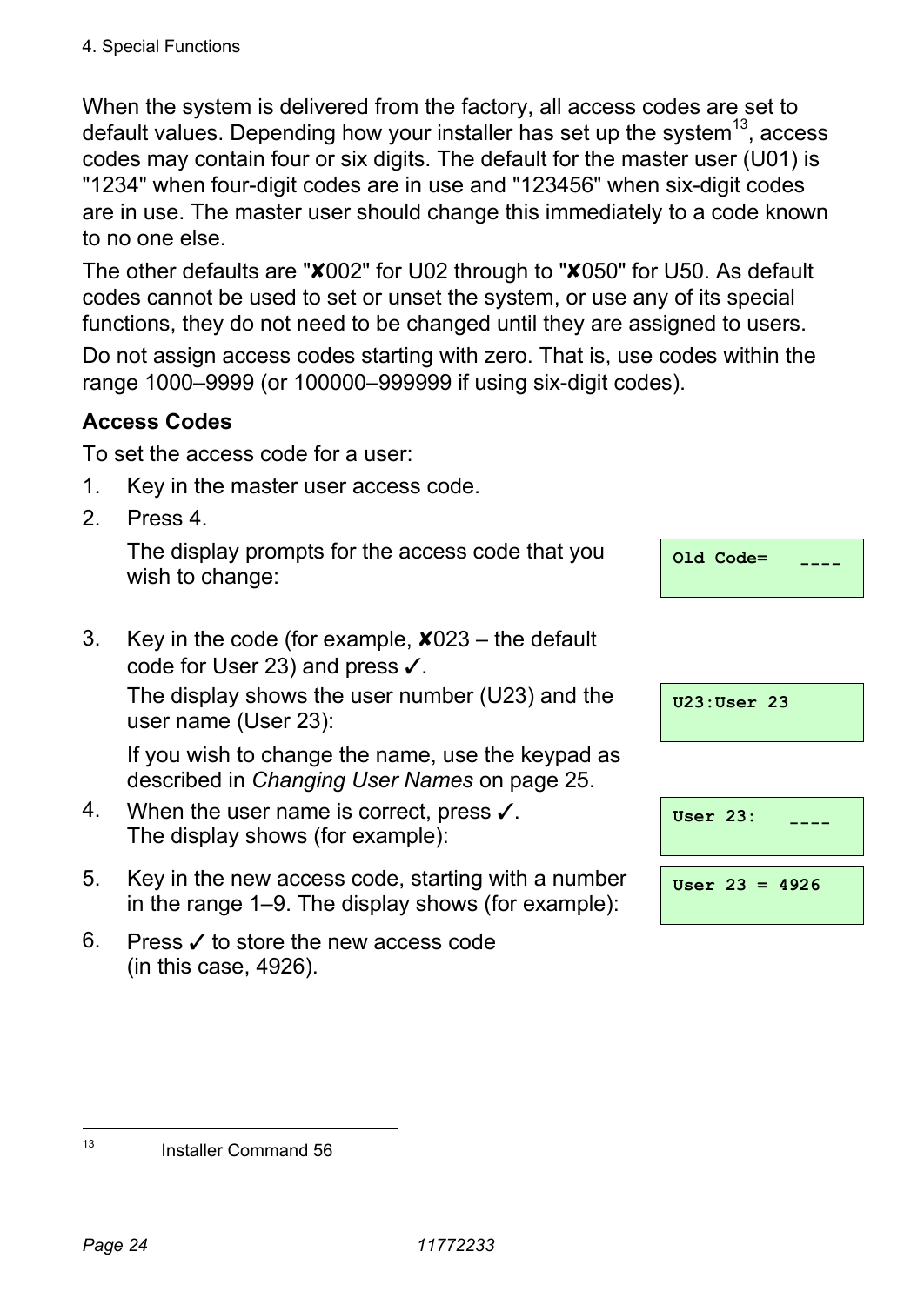When the system is delivered from the factory, all access codes are set to default values. Depending how your installer has set up the system<sup>13</sup>, access codes may contain four or six digits. The default for the master user (U01) is "1234" when four-digit codes are in use and "123456" when six-digit codes are in use. The master user should change this immediately to a code known to no one else.

The other defaults are "X002" for U02 through to "X050" for U50. As default codes cannot be used to set or unset the system, or use any of its special functions, they do not need to be changed until they are assigned to users.

Do not assign access codes starting with zero. That is, use codes within the range 1000–9999 (or 100000–999999 if using six-digit codes).

#### **Access Codes**

To set the access code for a user:

- 1. Key in the master user access code.
- 2. Press 4.

 The display prompts for the access code that you wish to change:

| $Q1d$ Code= |  |
|-------------|--|
|             |  |

#### 3. Key in the code (for example,  $\angle 023$  – the default code for User 23) and press  $\checkmark$ .

 The display shows the user number (U23) and the user name (User 23):

 If you wish to change the name, use the keypad as described in *Changing User Names* on page 25.

- 4. When the user name is correct, press  $\checkmark$ . The display shows (for example):
- 5. Key in the new access code, starting with a number in the range 1–9. The display shows (for example):
- 6. Press  $\checkmark$  to store the new access code (in this case, 4926).

| $U23:User$ 23 |  |  |  |
|---------------|--|--|--|
|---------------|--|--|--|

| User $23:$ |                  |  |
|------------|------------------|--|
|            | User $23 = 4926$ |  |

 $13$ 

Installer Command 56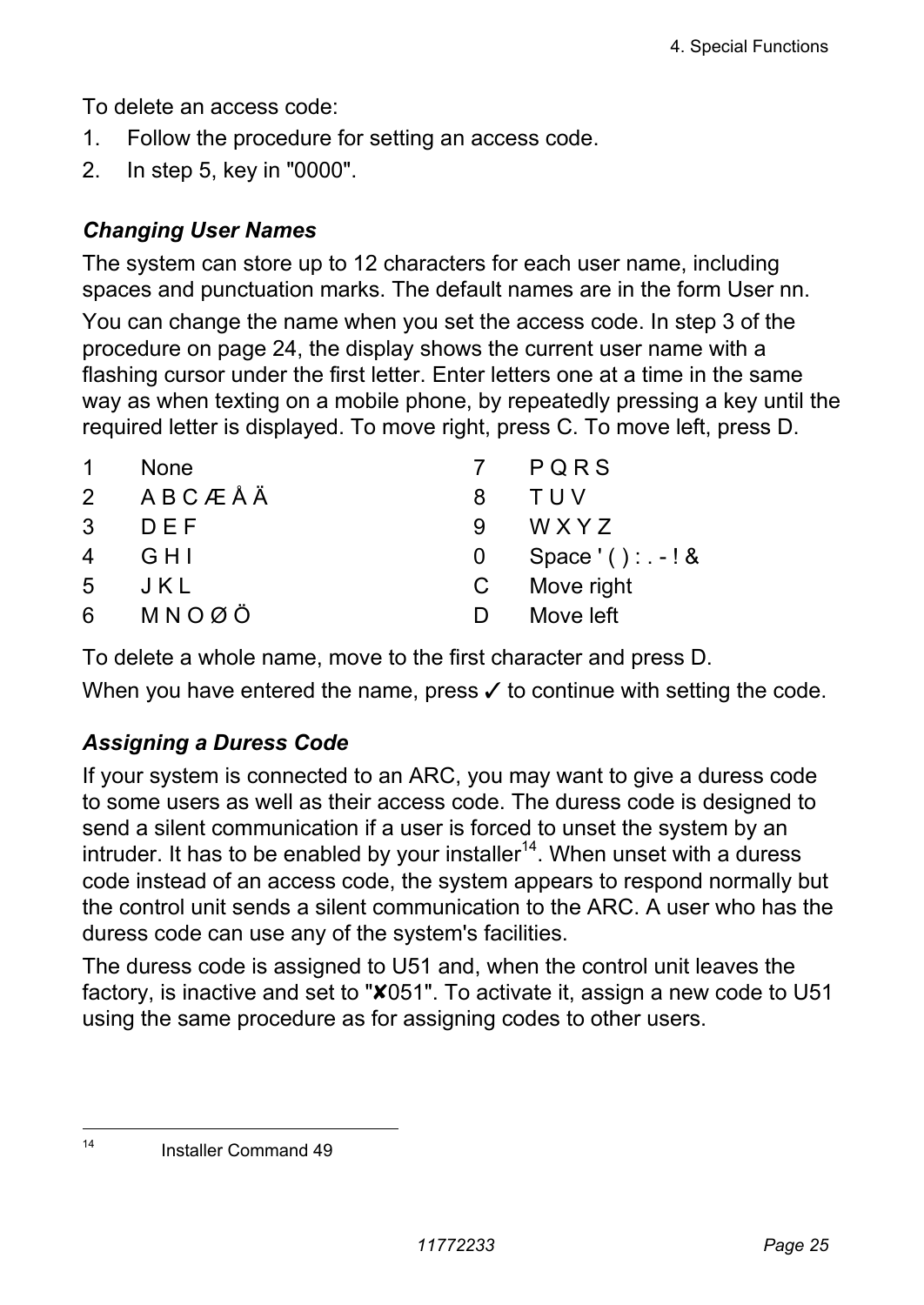To delete an access code:

- 1. Follow the procedure for setting an access code.
- 2. In step 5, key in "0000".

#### *Changing User Names*

The system can store up to 12 characters for each user name, including spaces and punctuation marks. The default names are in the form User nn.

You can change the name when you set the access code. In step 3 of the procedure on page 24, the display shows the current user name with a flashing cursor under the first letter. Enter letters one at a time in the same way as when texting on a mobile phone, by repeatedly pressing a key until the required letter is displayed. To move right, press C. To move left, press D.

| <b>None</b> |              | 7 PORS            |
|-------------|--------------|-------------------|
| 2 ABCÆÅÄ    | 8            | TUV               |
| DEF         | 9            | WXYZ              |
| G H I       | 0            | Space '(): $-!$ & |
| JKL         | $\mathbf{C}$ | Move right        |
| 6 MNOØÖ     | D            | Move left         |
|             |              |                   |

To delete a whole name, move to the first character and press D.

When you have entered the name, press  $\checkmark$  to continue with setting the code.

#### *Assigning a Duress Code*

If your system is connected to an ARC, you may want to give a duress code to some users as well as their access code. The duress code is designed to send a silent communication if a user is forced to unset the system by an intruder. It has to be enabled by your installer<sup>14</sup>. When unset with a duress code instead of an access code, the system appears to respond normally but the control unit sends a silent communication to the ARC. A user who has the duress code can use any of the system's facilities.

The duress code is assigned to U51 and, when the control unit leaves the factory, is inactive and set to "X051". To activate it, assign a new code to U51 using the same procedure as for assigning codes to other users.

 $\overline{A}$ Installer Command 49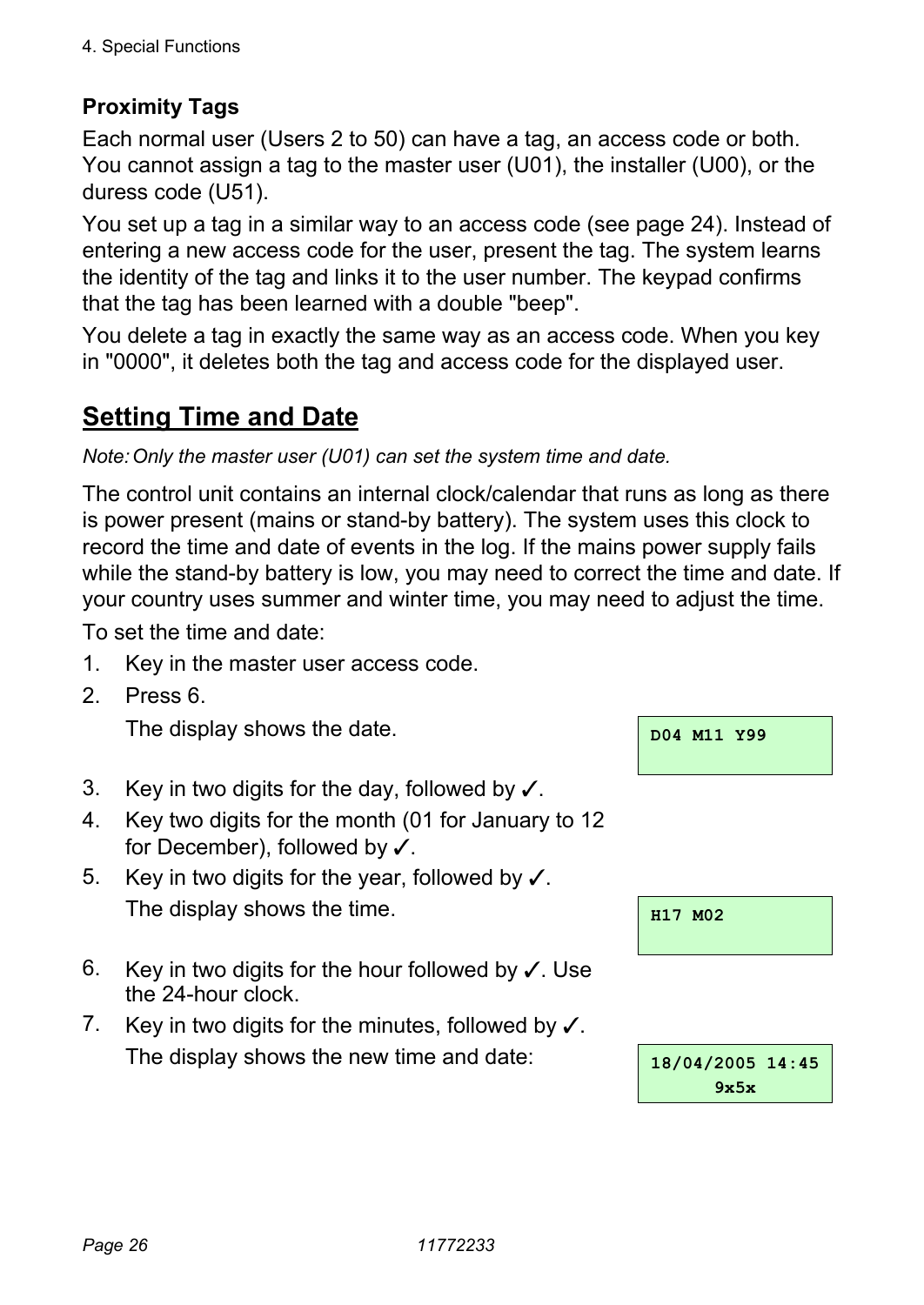#### **Proximity Tags**

Each normal user (Users 2 to 50) can have a tag, an access code or both. You cannot assign a tag to the master user (U01), the installer (U00), or the duress code (U51).

You set up a tag in a similar way to an access code (see page 24). Instead of entering a new access code for the user, present the tag. The system learns the identity of the tag and links it to the user number. The keypad confirms that the tag has been learned with a double "beep".

You delete a tag in exactly the same way as an access code. When you key in "0000", it deletes both the tag and access code for the displayed user.

### **Setting Time and Date**

#### *Note: Only the master user (U01) can set the system time and date.*

The control unit contains an internal clock/calendar that runs as long as there is power present (mains or stand-by battery). The system uses this clock to record the time and date of events in the log. If the mains power supply fails while the stand-by battery is low, you may need to correct the time and date. If your country uses summer and winter time, you may need to adjust the time.

To set the time and date:

- 1. Key in the master user access code.
- 2. Press 6.

The display shows the date. **Do**<sub>1</sub> M<sub>D04</sub> M<sub>11</sub> Y<sub>99</sub>

- 3. Key in two digits for the day, followed by  $\checkmark$ .
- 4. Key two digits for the month (01 for January to 12 for December), followed by  $\checkmark$ .
- 5. Key in two digits for the year, followed by  $\checkmark$ . The display shows the time.  $\frac{1}{117 \text{ M02}}$
- 6. Key in two digits for the hour followed by  $\checkmark$ . Use the 24-hour clock.
- 7. Key in two digits for the minutes, followed by  $\checkmark$ . The display shows the new time and date: **18/04/2005 14:45**

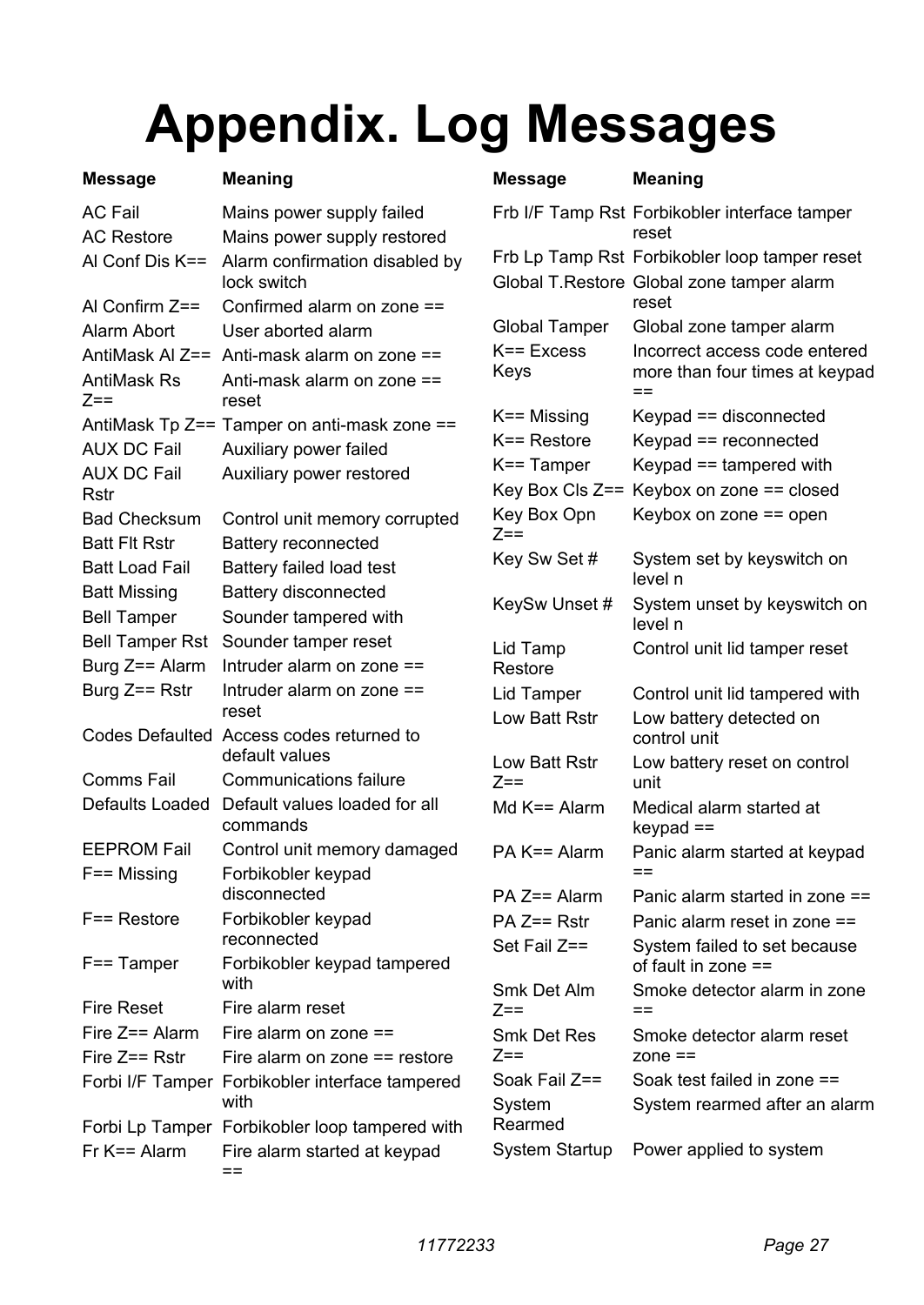## **Appendix. Log Messages**

| Message               | Meaning                                                    | <b>Message</b>                  |
|-----------------------|------------------------------------------------------------|---------------------------------|
| AC Fail               | Mains power supply failed                                  | Frb I/F Tamp I                  |
| <b>AC Restore</b>     | Mains power supply restored                                |                                 |
| Al Conf Dis K==       | Alarm confirmation disabled by<br>lock switch              | Frb Lp Tamp I<br>Global T.Rest  |
| Al Confirm Z==        | Confirmed alarm on zone ==                                 |                                 |
| Alarm Abort           | User aborted alarm                                         | Global Tampe                    |
| AntiMask Al Z==       | Anti-mask alarm on zone ==                                 | $K == Excess$                   |
| AntiMask Rs<br>$Z ==$ | Anti-mask alarm on zone ==<br>reset                        | Keys                            |
|                       | AntiMask Tp Z== Tamper on anti-mask zone ==                | $K ==$ Missing                  |
| AUX DC Fail           | Auxiliary power failed                                     | K== Restore                     |
| AUX DC Fail           | Auxiliary power restored                                   | K== Tamper                      |
| Rstr                  |                                                            | Key Box Cls Z                   |
| <b>Bad Checksum</b>   | Control unit memory corrupted                              | Key Box Opn<br>$7 ==$           |
| Batt Flt Rstr         | <b>Battery reconnected</b>                                 |                                 |
| Batt Load Fail        | Battery failed load test                                   | Key Sw Set#                     |
| Batt Missing          | Battery disconnected                                       | KeySw Unset                     |
| Bell Tamper           | Sounder tampered with                                      |                                 |
| Bell Tamper Rst       | Sounder tamper reset                                       | Lid Tamp                        |
| Burg Z== Alarm        | Intruder alarm on zone $==$                                | Restore                         |
| Burg Z== Rstr         | Intruder alarm on zone ==<br>reset                         | Lid Tamper<br>Low Batt Rstr     |
|                       | Codes Defaulted Access codes returned to<br>default values | Low Batt Rstr                   |
| Comms Fail            | <b>Communications failure</b>                              | $7 ==$                          |
| Defaults Loaded       | Default values loaded for all<br>commands                  | Md $K ==$ Alarm                 |
| <b>EEPROM Fail</b>    | Control unit memory damaged                                | PA K== Alarm                    |
| F== Missing           | Forbikobler keypad                                         |                                 |
|                       | disconnected                                               | PA Z== Alarm                    |
| F== Restore           | Forbikobler keypad<br>reconnected                          | $PA$ $Z==$ Rstr<br>Set Fail Z== |
| F== Tamper            | Forbikobler keypad tampered<br>with                        | Smk Det Alm                     |
| Fire Reset            | Fire alarm reset                                           | $Z ==$                          |
| Fire Z== Alarm        | Fire alarm on zone $==$                                    | Smk Det Res                     |
| Fire Z== Rstr         | Fire alarm on zone $==$ restore                            | $Z ==$                          |
|                       | Forbi I/F Tamper Forbikobler interface tampered<br>with    | Soak Fail Z==<br>Svstem         |
|                       | Forbi Lp Tamper Forbikobler loop tampered with             | Rearmed                         |
| Fr K== Alarm          | Fire alarm started at keypad<br>$=$ $=$                    | System Startu                   |
|                       |                                                            |                                 |

| Message               | Meaning                                                                |  |  |  |  |
|-----------------------|------------------------------------------------------------------------|--|--|--|--|
|                       | Frb I/F Tamp Rst Forbikobler interface tamper<br>reset                 |  |  |  |  |
|                       | Frb Lp Tamp Rst Forbikobler loop tamper reset                          |  |  |  |  |
|                       | Global T.Restore Global zone tamper alarm<br>reset                     |  |  |  |  |
| Global Tamper         | Global zone tamper alarm                                               |  |  |  |  |
| K== Excess<br>Keys    | Incorrect access code entered<br>more than four times at keypad<br>$=$ |  |  |  |  |
| K== Missing           | Keypad == disconnected                                                 |  |  |  |  |
| K== Restore           | Keypad == reconnected                                                  |  |  |  |  |
| K== Tamper            | Keypad $==$ tampered with                                              |  |  |  |  |
|                       | Key Box Cls Z== Keybox on zone == closed                               |  |  |  |  |
| Key Box Opn<br>$7 ==$ | Keybox on zone == open                                                 |  |  |  |  |
| Key Sw Set #          | System set by keyswitch on<br>level n                                  |  |  |  |  |
| KeySw Unset #         | System unset by keyswitch on<br>level n                                |  |  |  |  |
| Lid Tamp<br>Restore   | Control unit lid tamper reset                                          |  |  |  |  |
| Lid Tamper            | Control unit lid tampered with                                         |  |  |  |  |
| Low Batt Rstr         | Low battery detected on<br>control unit                                |  |  |  |  |
| Low Batt Rstr<br>Z==  | Low battery reset on control<br>unit                                   |  |  |  |  |
| Md K== Alarm          | Medical alarm started at<br>$keypad ==$                                |  |  |  |  |
| PA K== Alarm          | Panic alarm started at keypad<br>--                                    |  |  |  |  |
| PA Z== Alarm          | Panic alarm started in zone ==                                         |  |  |  |  |
| PA Z== Rstr           | Panic alarm reset in zone ==                                           |  |  |  |  |
| Set Fail Z==          | System failed to set because<br>of fault in zone ==                    |  |  |  |  |
| Smk Det Alm<br>$7 ==$ | Smoke detector alarm in zone<br>$=$                                    |  |  |  |  |
| Smk Det Res<br>$Z ==$ | Smoke detector alarm reset<br>$zone ==$                                |  |  |  |  |
| Soak Fail Z==         | Soak test failed in zone ==                                            |  |  |  |  |
| System<br>Rearmed     | System rearmed after an alarm                                          |  |  |  |  |
| System Startup        | Power applied to system                                                |  |  |  |  |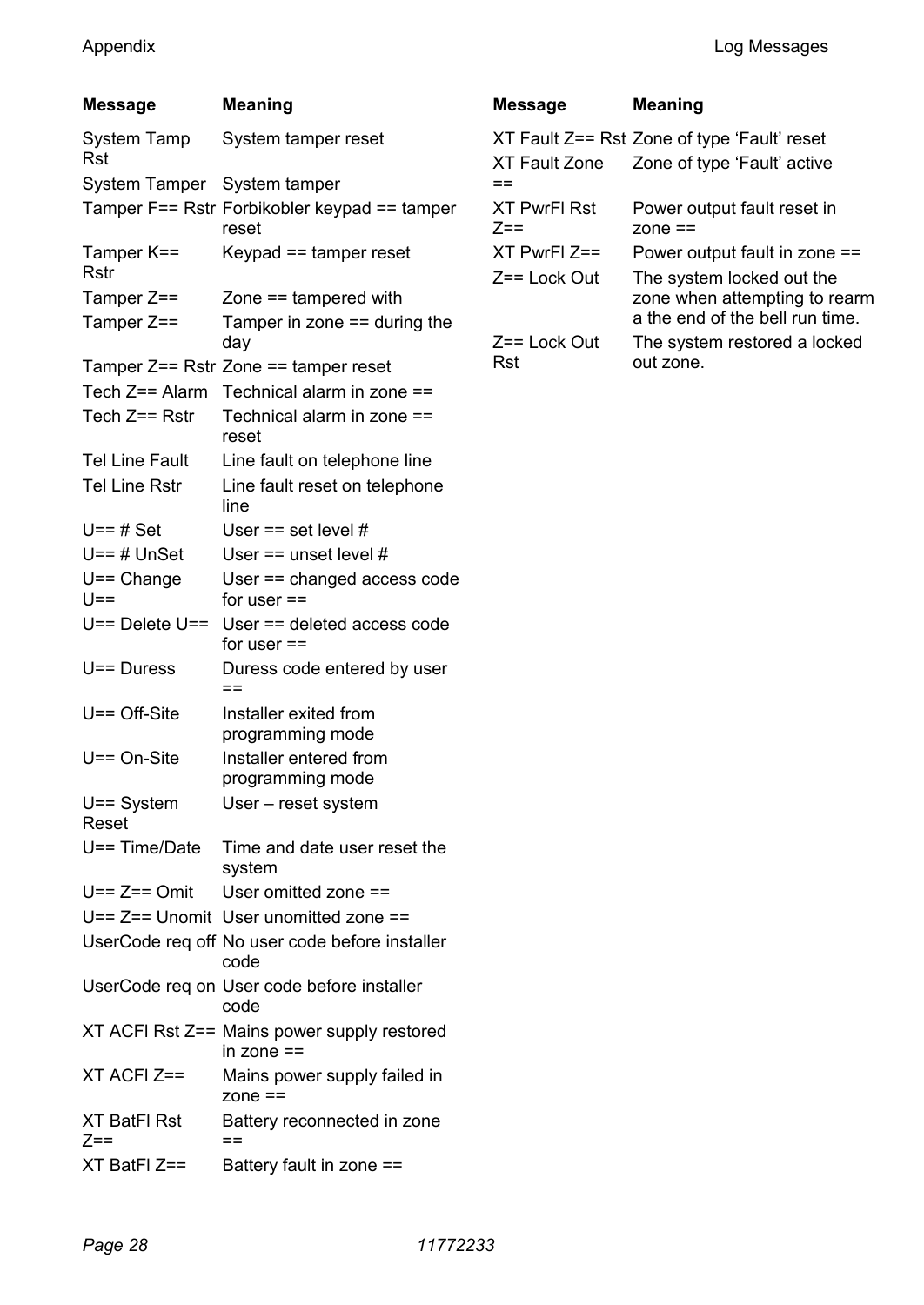| Message                 | Meaning                                                   |  |  |  |  |  |
|-------------------------|-----------------------------------------------------------|--|--|--|--|--|
| System Tamp<br>Rst      | System tamper reset                                       |  |  |  |  |  |
| System Tamper           | System tamper                                             |  |  |  |  |  |
|                         | Tamper F== Rstr Forbikobler keypad == tamper<br>reset     |  |  |  |  |  |
| Tamper K==<br>Rstr      | Keypad == tamper reset                                    |  |  |  |  |  |
| Tamper Z==              | Zone $==$ tampered with                                   |  |  |  |  |  |
| Tamper Z==              | Tamper in zone $==$ during the<br>day                     |  |  |  |  |  |
|                         | Tamper Z== Rstr Zone == tamper reset                      |  |  |  |  |  |
| Tech Z== Alarm          | Technical alarm in zone ==                                |  |  |  |  |  |
| Tech Z== Rstr           | Technical alarm in zone ==<br>reset                       |  |  |  |  |  |
| Tel Line Fault          | Line fault on telephone line                              |  |  |  |  |  |
| <b>Tel Line Rstr</b>    | Line fault reset on telephone<br>line                     |  |  |  |  |  |
| $U==$ # Set             | User == set level $#$                                     |  |  |  |  |  |
| U==#UnSet               | User $==$ unset level #                                   |  |  |  |  |  |
| $U ==$ Change<br>$U ==$ | User == changed access code<br>for user $==$              |  |  |  |  |  |
| U== Delete U==          | User == deleted access code<br>for user ==                |  |  |  |  |  |
| $U == Dures$            | Duress code entered by user<br>--                         |  |  |  |  |  |
| $U ==$ Off-Site         | Installer exited from<br>programming mode                 |  |  |  |  |  |
| $U == On-Site$          | Installer entered from<br>programming mode                |  |  |  |  |  |
| $U ==$ System<br>Reset  | User - reset system                                       |  |  |  |  |  |
| $U == Time/Date$        | Time and date user reset the<br>system                    |  |  |  |  |  |
| $U == Z == Omit$        | User omitted zone ==                                      |  |  |  |  |  |
| U== Z== Unomit          | User unomitted zone ==                                    |  |  |  |  |  |
|                         | UserCode reg off No user code before installer<br>code    |  |  |  |  |  |
|                         | UserCode req on User code before installer<br>code        |  |  |  |  |  |
|                         | XT ACFI Rst Z== Mains power supply restored<br>in zone == |  |  |  |  |  |
| XT ACFI Z==             | Mains power supply failed in<br>zone $==$                 |  |  |  |  |  |
| XT BatFl Rst<br>$Z ==$  | Battery reconnected in zone<br>$=$                        |  |  |  |  |  |
| XT BatFI Z==            | Battery fault in zone ==                                  |  |  |  |  |  |

| Message             | <b>Meaning</b>                                                                                |
|---------------------|-----------------------------------------------------------------------------------------------|
| XT Fault Zone       | XT Fault Z== Rst Zone of type 'Fault' reset                                                   |
| ==                  | Zone of type 'Fault' active                                                                   |
| <b>XT PwrFI Rst</b> | Power output fault reset in                                                                   |
| 7==                 | zone $==$                                                                                     |
| $XT$ PwrFl $Z ==$   | Power output fault in zone ==                                                                 |
| Z== Lock Out        | The system locked out the<br>zone when attempting to rearm<br>a the end of the bell run time. |
| Z== Lock Out        | The system restored a locked                                                                  |
| Rst                 | out zone.                                                                                     |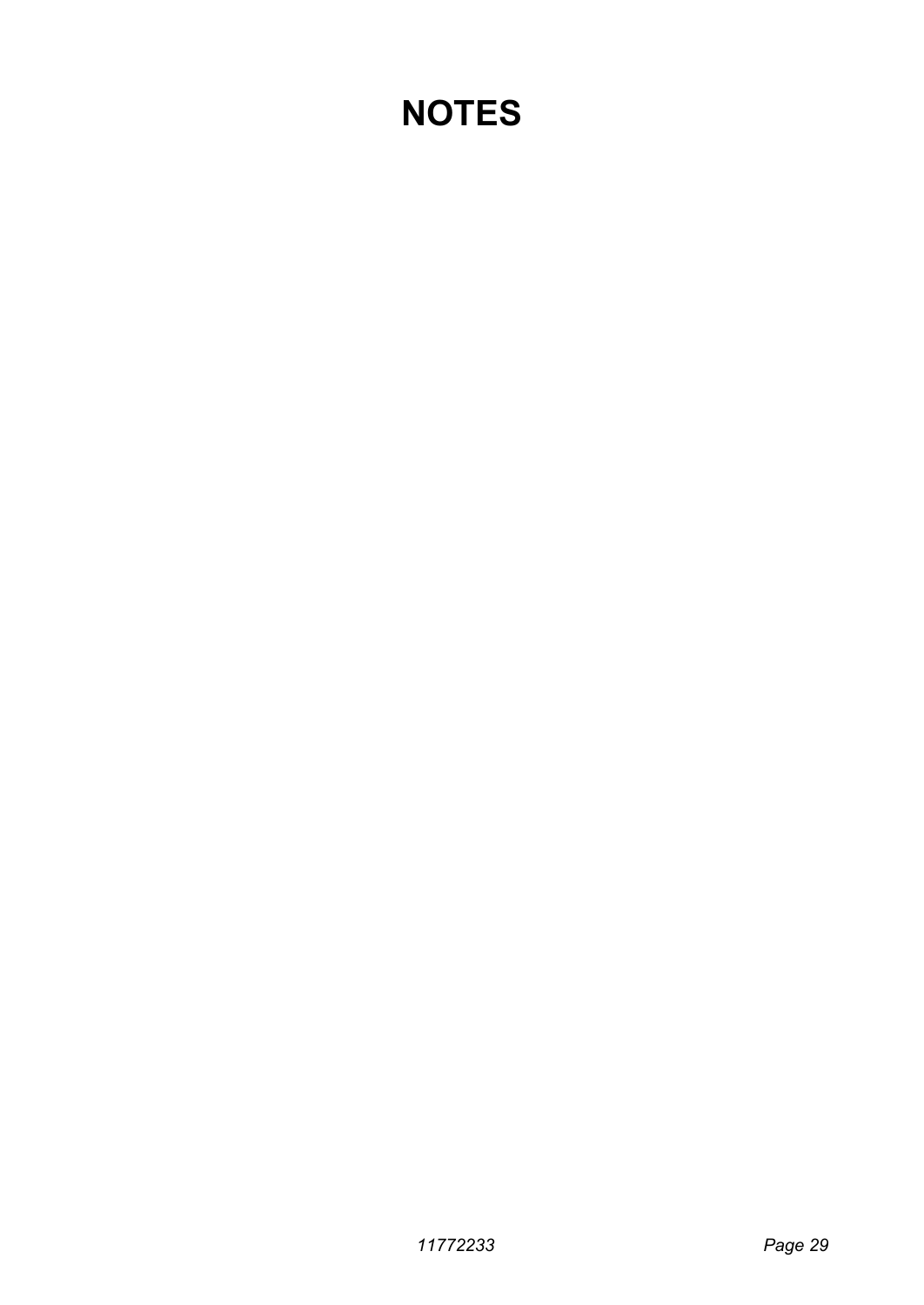## **NOTES**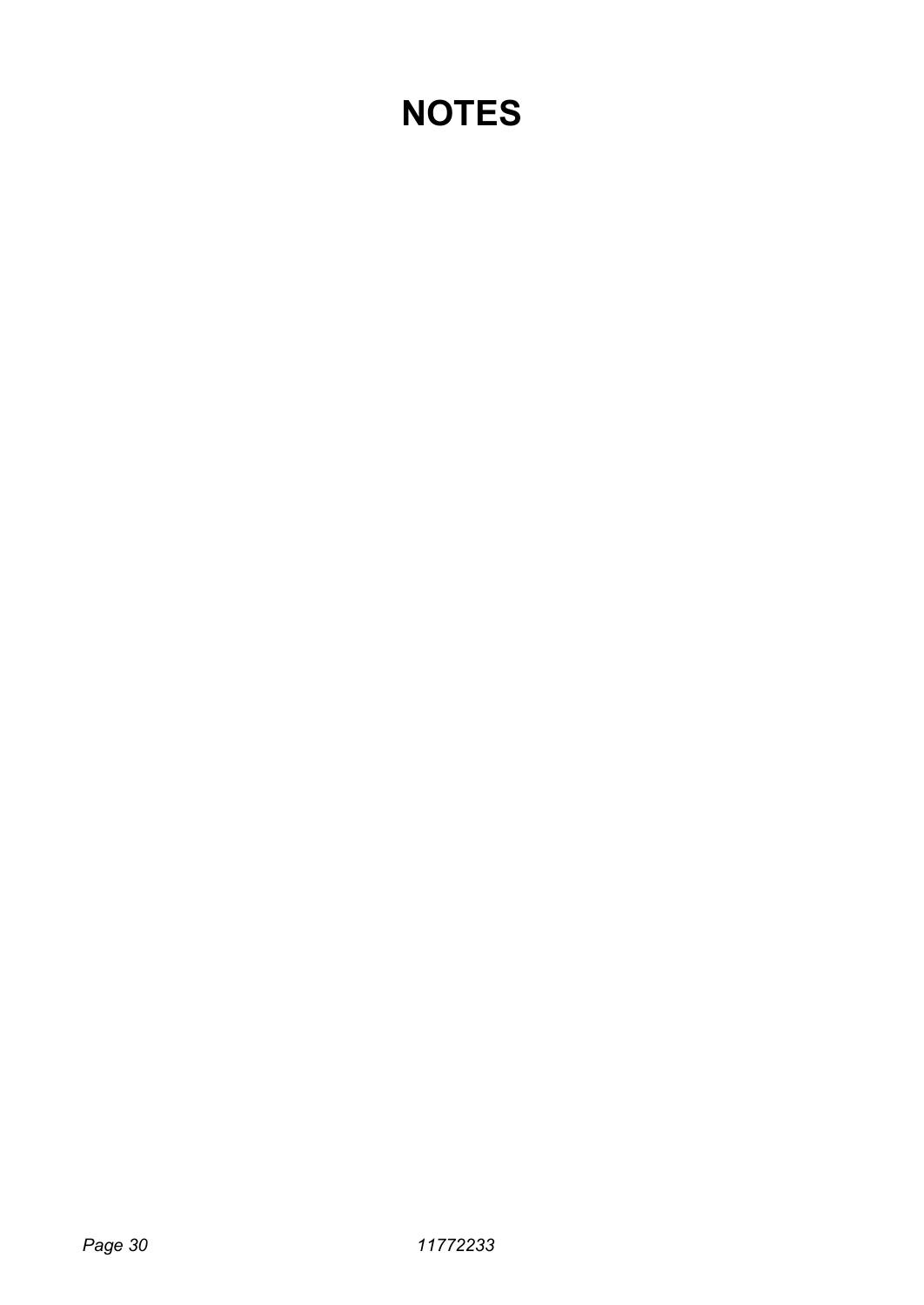## **NOTES**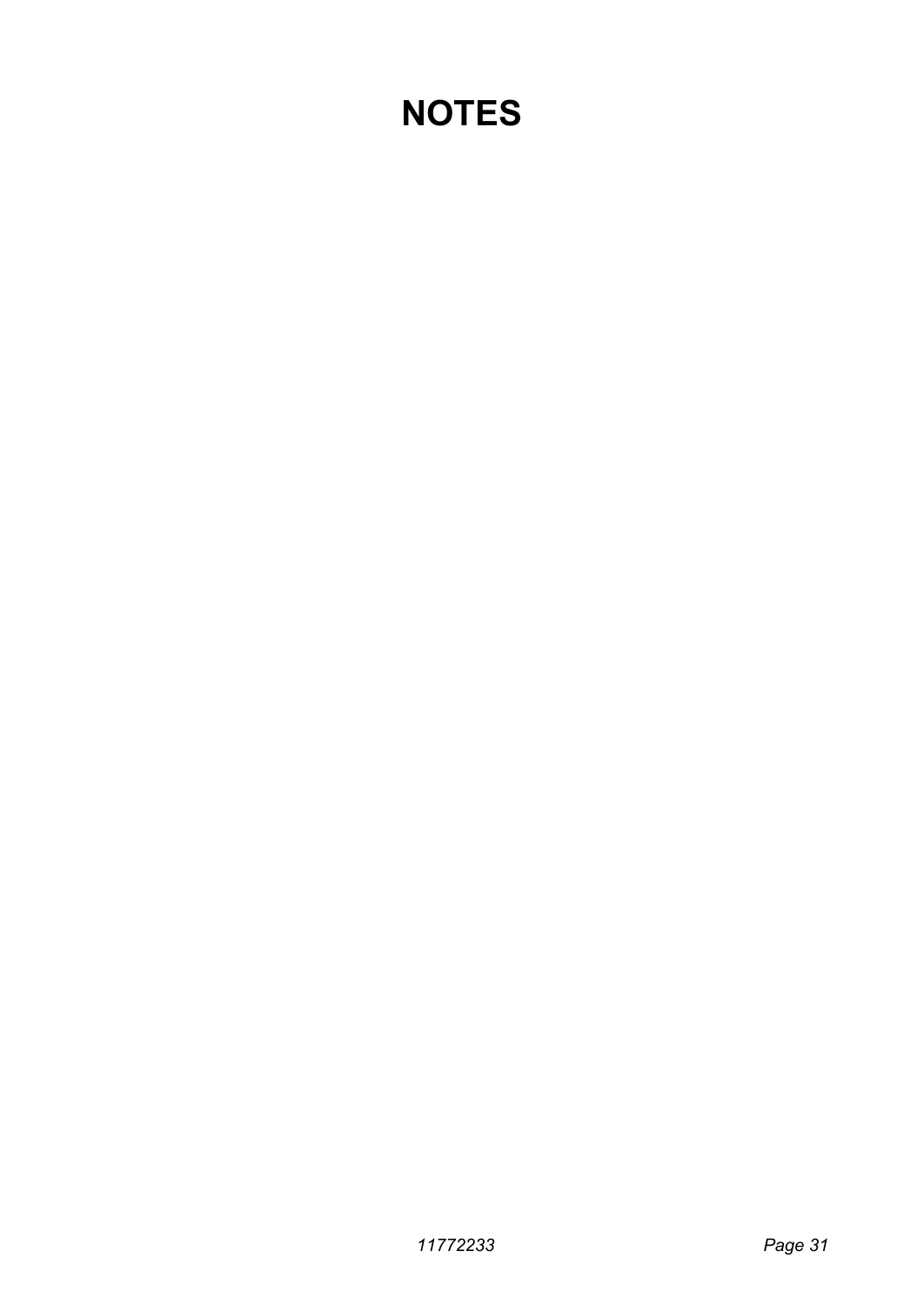## **NOTES**